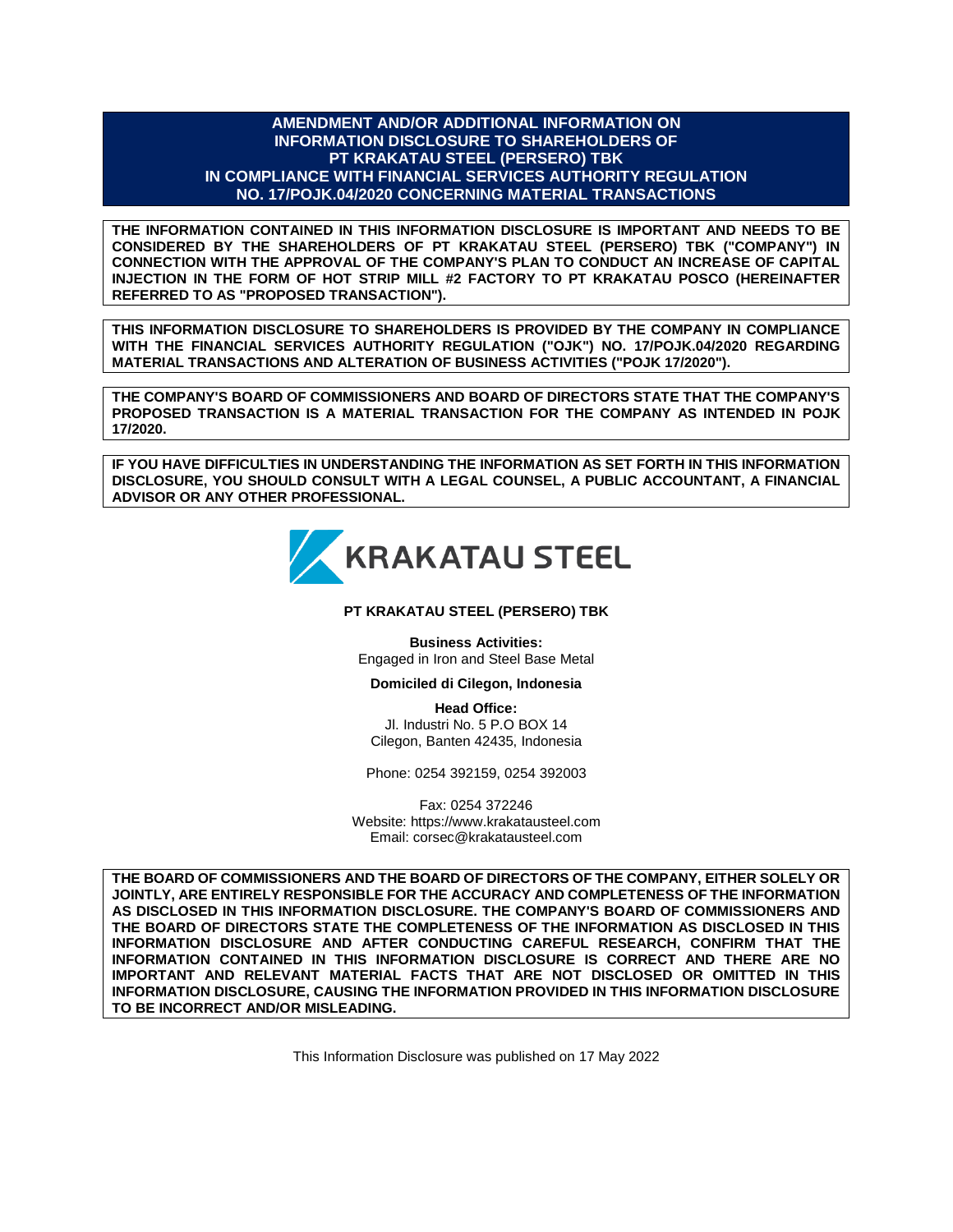#### **AMENDMENT AND/OR ADDITIONAL INFORMATION ON INFORMATION DISCLOSURE TO SHAREHOLDERS OF PT KRAKATAU STEEL (PERSERO) TBK IN COMPLIANCE WITH FINANCIAL SERVICES AUTHORITY REGULATION NO. 17/POJK.04/2020 CONCERNING MATERIAL TRANSACTIONS**

**THE INFORMATION CONTAINED IN THIS INFORMATION DISCLOSURE IS IMPORTANT AND NEEDS TO BE CONSIDERED BY THE SHAREHOLDERS OF PT KRAKATAU STEEL (PERSERO) TBK ("COMPANY") IN CONNECTION WITH THE APPROVAL OF THE COMPANY'S PLAN TO CONDUCT AN INCREASE OF CAPITAL INJECTION IN THE FORM OF HOT STRIP MILL #2 FACTORY TO PT KRAKATAU POSCO (HEREINAFTER REFERRED TO AS "PROPOSED TRANSACTION").**

**THIS INFORMATION DISCLOSURE TO SHAREHOLDERS IS PROVIDED BY THE COMPANY IN COMPLIANCE WITH THE FINANCIAL SERVICES AUTHORITY REGULATION ("OJK") NO. 17/POJK.04/2020 REGARDING MATERIAL TRANSACTIONS AND ALTERATION OF BUSINESS ACTIVITIES ("POJK 17/2020").**

**THE COMPANY'S BOARD OF COMMISSIONERS AND BOARD OF DIRECTORS STATE THAT THE COMPANY'S PROPOSED TRANSACTION IS A MATERIAL TRANSACTION FOR THE COMPANY AS INTENDED IN POJK 17/2020.**

**IF YOU HAVE DIFFICULTIES IN UNDERSTANDING THE INFORMATION AS SET FORTH IN THIS INFORMATION DISCLOSURE, YOU SHOULD CONSULT WITH A LEGAL COUNSEL, A PUBLIC ACCOUNTANT, A FINANCIAL ADVISOR OR ANY OTHER PROFESSIONAL.**



#### **PT KRAKATAU STEEL (PERSERO) TBK**

**Business Activities:** Engaged in Iron and Steel Base Metal

**Domiciled di Cilegon, Indonesia**

**Head Office:** Jl. Industri No. 5 P.O BOX 14 Cilegon, Banten 42435, Indonesia

Phone: 0254 392159, 0254 392003

Fax: 0254 372246 Website: https://www.krakatausteel.com Email: corsec@krakatausteel.com

**THE BOARD OF COMMISSIONERS AND THE BOARD OF DIRECTORS OF THE COMPANY, EITHER SOLELY OR JOINTLY, ARE ENTIRELY RESPONSIBLE FOR THE ACCURACY AND COMPLETENESS OF THE INFORMATION AS DISCLOSED IN THIS INFORMATION DISCLOSURE. THE COMPANY'S BOARD OF COMMISSIONERS AND THE BOARD OF DIRECTORS STATE THE COMPLETENESS OF THE INFORMATION AS DISCLOSED IN THIS INFORMATION DISCLOSURE AND AFTER CONDUCTING CAREFUL RESEARCH, CONFIRM THAT THE INFORMATION CONTAINED IN THIS INFORMATION DISCLOSURE IS CORRECT AND THERE ARE NO IMPORTANT AND RELEVANT MATERIAL FACTS THAT ARE NOT DISCLOSED OR OMITTED IN THIS INFORMATION DISCLOSURE, CAUSING THE INFORMATION PROVIDED IN THIS INFORMATION DISCLOSURE TO BE INCORRECT AND/OR MISLEADING.**

This Information Disclosure was published on 17 May 2022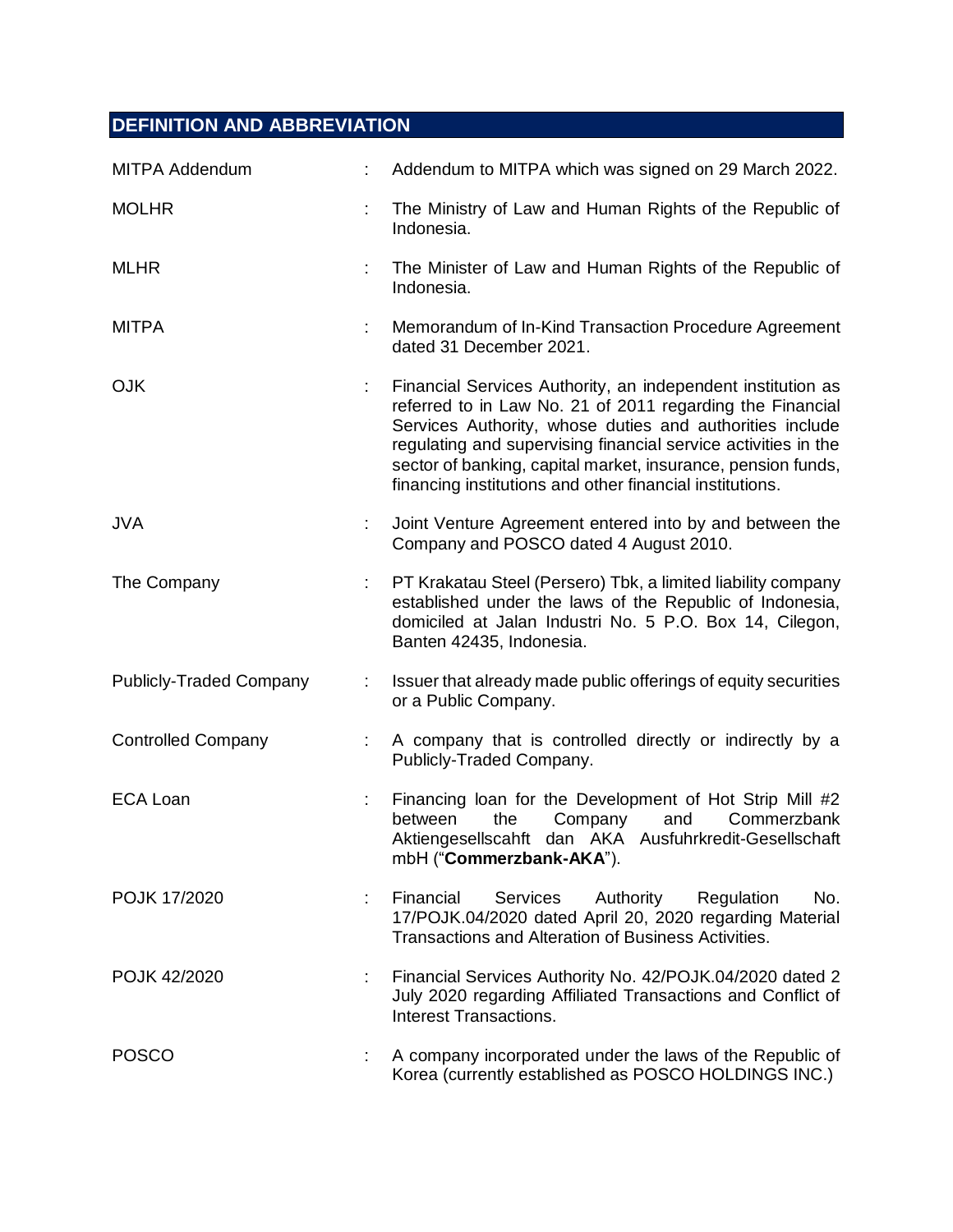# **DEFINITION AND ABBREVIATION**

| <b>MITPA Addendum</b>          | Addendum to MITPA which was signed on 29 March 2022.                                                                                                                                                                                                                                                                                                                               |
|--------------------------------|------------------------------------------------------------------------------------------------------------------------------------------------------------------------------------------------------------------------------------------------------------------------------------------------------------------------------------------------------------------------------------|
| <b>MOLHR</b>                   | The Ministry of Law and Human Rights of the Republic of<br>Indonesia.                                                                                                                                                                                                                                                                                                              |
| <b>MLHR</b>                    | The Minister of Law and Human Rights of the Republic of<br>Indonesia.                                                                                                                                                                                                                                                                                                              |
| <b>MITPA</b>                   | Memorandum of In-Kind Transaction Procedure Agreement<br>dated 31 December 2021.                                                                                                                                                                                                                                                                                                   |
| <b>OJK</b>                     | Financial Services Authority, an independent institution as<br>referred to in Law No. 21 of 2011 regarding the Financial<br>Services Authority, whose duties and authorities include<br>regulating and supervising financial service activities in the<br>sector of banking, capital market, insurance, pension funds,<br>financing institutions and other financial institutions. |
| <b>JVA</b>                     | Joint Venture Agreement entered into by and between the<br>Company and POSCO dated 4 August 2010.                                                                                                                                                                                                                                                                                  |
| The Company                    | PT Krakatau Steel (Persero) Tbk, a limited liability company<br>established under the laws of the Republic of Indonesia,<br>domiciled at Jalan Industri No. 5 P.O. Box 14, Cilegon,<br>Banten 42435, Indonesia.                                                                                                                                                                    |
| <b>Publicly-Traded Company</b> | Issuer that already made public offerings of equity securities<br>or a Public Company.                                                                                                                                                                                                                                                                                             |
| <b>Controlled Company</b>      | A company that is controlled directly or indirectly by a<br>Publicly-Traded Company.                                                                                                                                                                                                                                                                                               |
| <b>ECA Loan</b>                | Financing loan for the Development of Hot Strip Mill #2<br>Company<br>between<br>the<br>and<br>Commerzbank<br>Aktiengesellscahft dan AKA Ausfuhrkredit-Gesellschaft<br>mbH ("Commerzbank-AKA").                                                                                                                                                                                    |
| POJK 17/2020                   | No.<br>Financial<br><b>Services</b><br>Authority<br>Regulation<br>17/POJK.04/2020 dated April 20, 2020 regarding Material<br>Transactions and Alteration of Business Activities.                                                                                                                                                                                                   |
| POJK 42/2020                   | Financial Services Authority No. 42/POJK.04/2020 dated 2<br>July 2020 regarding Affiliated Transactions and Conflict of<br>Interest Transactions.                                                                                                                                                                                                                                  |
| <b>POSCO</b>                   | A company incorporated under the laws of the Republic of<br>Korea (currently established as POSCO HOLDINGS INC.)                                                                                                                                                                                                                                                                   |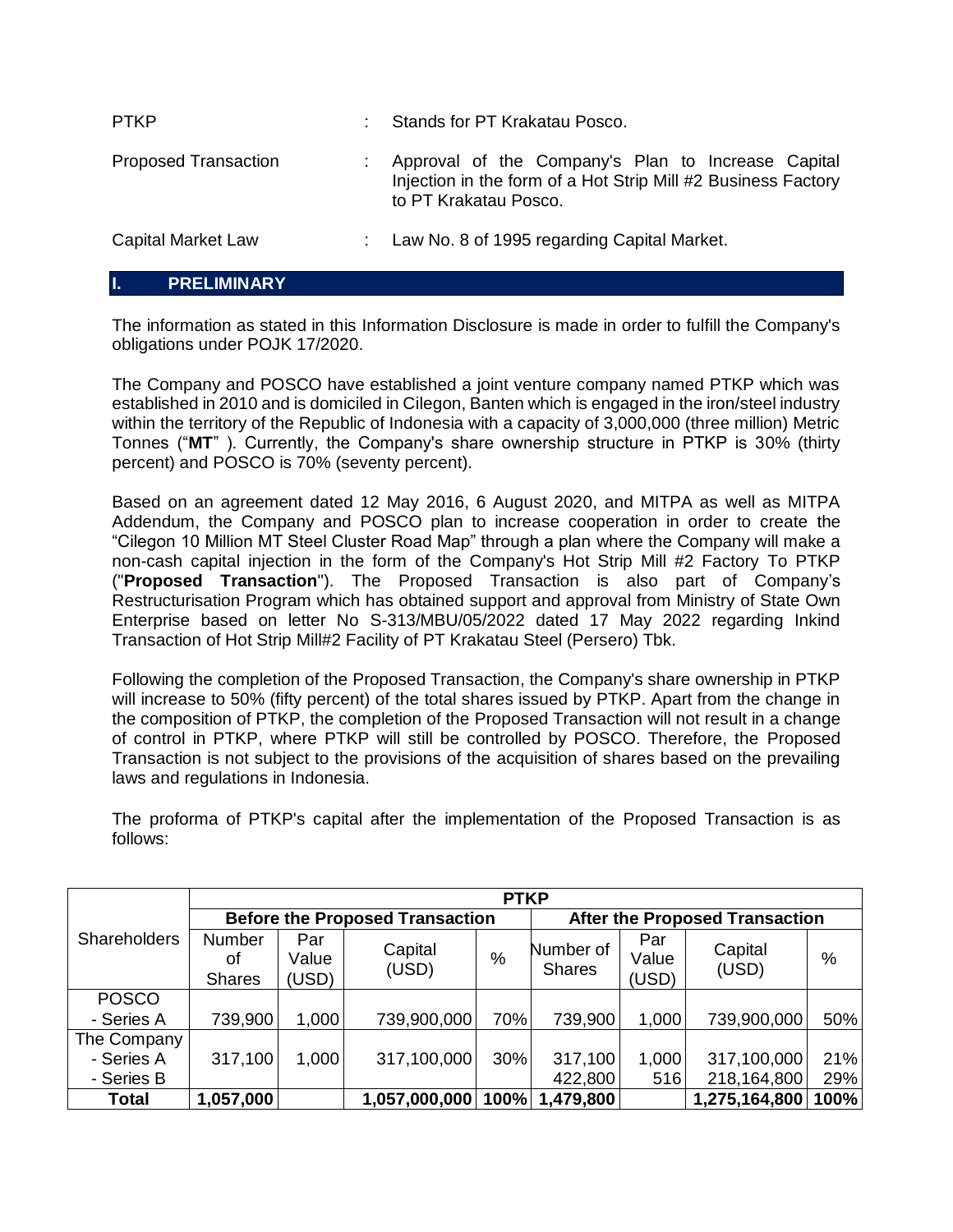| <b>PTKP</b>                 | Stands for PT Krakatau Posco.                                                                                                                |
|-----------------------------|----------------------------------------------------------------------------------------------------------------------------------------------|
| <b>Proposed Transaction</b> | Approval of the Company's Plan to Increase Capital<br>Injection in the form of a Hot Strip Mill #2 Business Factory<br>to PT Krakatau Posco. |
| Capital Market Law          | Law No. 8 of 1995 regarding Capital Market.                                                                                                  |

## **I. PRELIMINARY**

The information as stated in this Information Disclosure is made in order to fulfill the Company's obligations under POJK 17/2020.

The Company and POSCO have established a joint venture company named PTKP which was established in 2010 and is domiciled in Cilegon, Banten which is engaged in the iron/steel industry within the territory of the Republic of Indonesia with a capacity of 3,000,000 (three million) Metric Tonnes ("**MT**" ). Currently, the Company's share ownership structure in PTKP is 30% (thirty percent) and POSCO is 70% (seventy percent).

Based on an agreement dated 12 May 2016, 6 August 2020, and MITPA as well as MITPA Addendum, the Company and POSCO plan to increase cooperation in order to create the "Cilegon 10 Million MT Steel Cluster Road Map" through a plan where the Company will make a non-cash capital injection in the form of the Company's Hot Strip Mill #2 Factory To PTKP ("**Proposed Transaction**"). The Proposed Transaction is also part of Company's Restructurisation Program which has obtained support and approval from Ministry of State Own Enterprise based on letter No S-313/MBU/05/2022 dated 17 May 2022 regarding Inkind Transaction of Hot Strip Mill#2 Facility of PT Krakatau Steel (Persero) Tbk.

Following the completion of the Proposed Transaction, the Company's share ownership in PTKP will increase to 50% (fifty percent) of the total shares issued by PTKP. Apart from the change in the composition of PTKP, the completion of the Proposed Transaction will not result in a change of control in PTKP, where PTKP will still be controlled by POSCO. Therefore, the Proposed Transaction is not subject to the provisions of the acquisition of shares based on the prevailing laws and regulations in Indonesia.

The proforma of PTKP's capital after the implementation of the Proposed Transaction is as follows:

|                     | <b>PTKP</b>                            |       |                  |                                       |                            |       |                  |               |
|---------------------|----------------------------------------|-------|------------------|---------------------------------------|----------------------------|-------|------------------|---------------|
|                     | <b>Before the Proposed Transaction</b> |       |                  | <b>After the Proposed Transaction</b> |                            |       |                  |               |
| <b>Shareholders</b> | Number                                 | Par   |                  |                                       |                            | Par   |                  |               |
|                     | οf                                     | Value | Capital<br>(USD) | %                                     | Number of<br><b>Shares</b> | Value | Capital<br>(USD) | $\frac{0}{0}$ |
|                     | <b>Shares</b>                          | (USD) |                  |                                       |                            | (USD) |                  |               |
| <b>POSCO</b>        |                                        |       |                  |                                       |                            |       |                  |               |
| - Series A          | 739,900                                | 1,000 | 739,900,000      | 70%                                   | 739,900                    | 1,000 | 739,900,000      | 50%           |
| The Company         |                                        |       |                  |                                       |                            |       |                  |               |
| - Series A          | 317,100                                | 1,000 | 317,100,000      | 30%                                   | 317,100                    | 1,000 | 317,100,000      | 21%           |
| - Series B          |                                        |       |                  |                                       | 422,800                    | 516   | 218,164,800      | 29%           |
| Total               | 1,057,000                              |       | 1,057,000,000    | 100%                                  | 1,479,800                  |       | 1,275,164,800    | 100%          |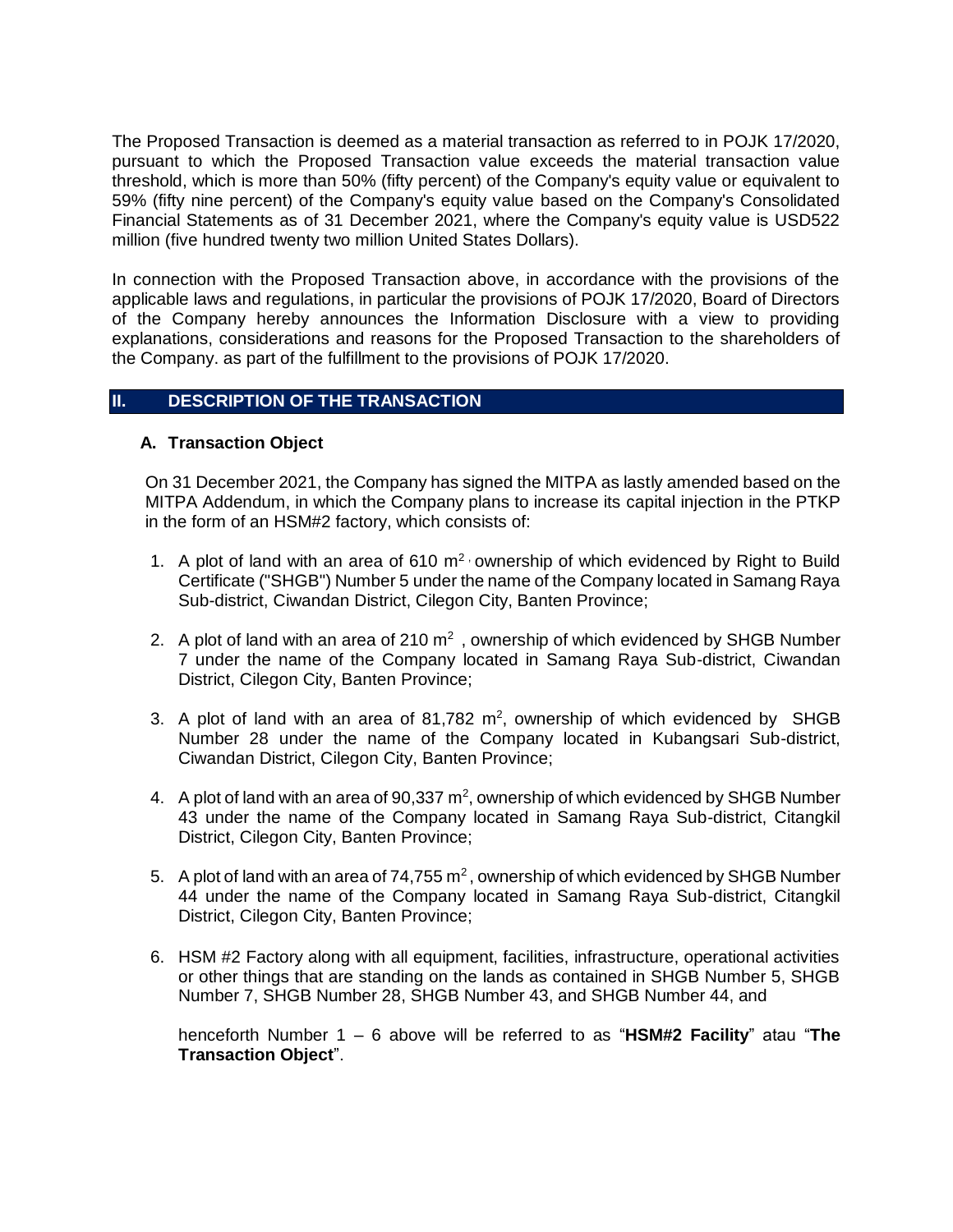The Proposed Transaction is deemed as a material transaction as referred to in POJK 17/2020, pursuant to which the Proposed Transaction value exceeds the material transaction value threshold, which is more than 50% (fifty percent) of the Company's equity value or equivalent to 59% (fifty nine percent) of the Company's equity value based on the Company's Consolidated Financial Statements as of 31 December 2021, where the Company's equity value is USD522 million (five hundred twenty two million United States Dollars).

In connection with the Proposed Transaction above, in accordance with the provisions of the applicable laws and regulations, in particular the provisions of POJK 17/2020, Board of Directors of the Company hereby announces the Information Disclosure with a view to providing explanations, considerations and reasons for the Proposed Transaction to the shareholders of the Company. as part of the fulfillment to the provisions of POJK 17/2020.

## **II. DESCRIPTION OF THE TRANSACTION**

## **A. Transaction Object**

On 31 December 2021, the Company has signed the MITPA as lastly amended based on the MITPA Addendum, in which the Company plans to increase its capital injection in the PTKP in the form of an HSM#2 factory, which consists of:

- 1. A plot of land with an area of 610  $m^2$  ownership of which evidenced by Right to Build Certificate ("SHGB") Number 5 under the name of the Company located in Samang Raya Sub-district, Ciwandan District, Cilegon City, Banten Province;
- 2. A plot of land with an area of 210  $m<sup>2</sup>$ , ownership of which evidenced by SHGB Number 7 under the name of the Company located in Samang Raya Sub-district, Ciwandan District, Cilegon City, Banten Province;
- 3. A plot of land with an area of  $81,782$  m<sup>2</sup>, ownership of which evidenced by SHGB Number 28 under the name of the Company located in Kubangsari Sub-district, Ciwandan District, Cilegon City, Banten Province;
- 4. A plot of land with an area of  $90,337 \text{ m}^2$ , ownership of which evidenced by SHGB Number 43 under the name of the Company located in Samang Raya Sub-district, Citangkil District, Cilegon City, Banten Province;
- 5. A plot of land with an area of  $74,755$  m<sup>2</sup>, ownership of which evidenced by SHGB Number 44 under the name of the Company located in Samang Raya Sub-district, Citangkil District, Cilegon City, Banten Province;
- 6. HSM #2 Factory along with all equipment, facilities, infrastructure, operational activities or other things that are standing on the lands as contained in SHGB Number 5, SHGB Number 7, SHGB Number 28, SHGB Number 43, and SHGB Number 44, and

henceforth Number 1 – 6 above will be referred to as "**HSM#2 Facility**" atau "**The Transaction Object**".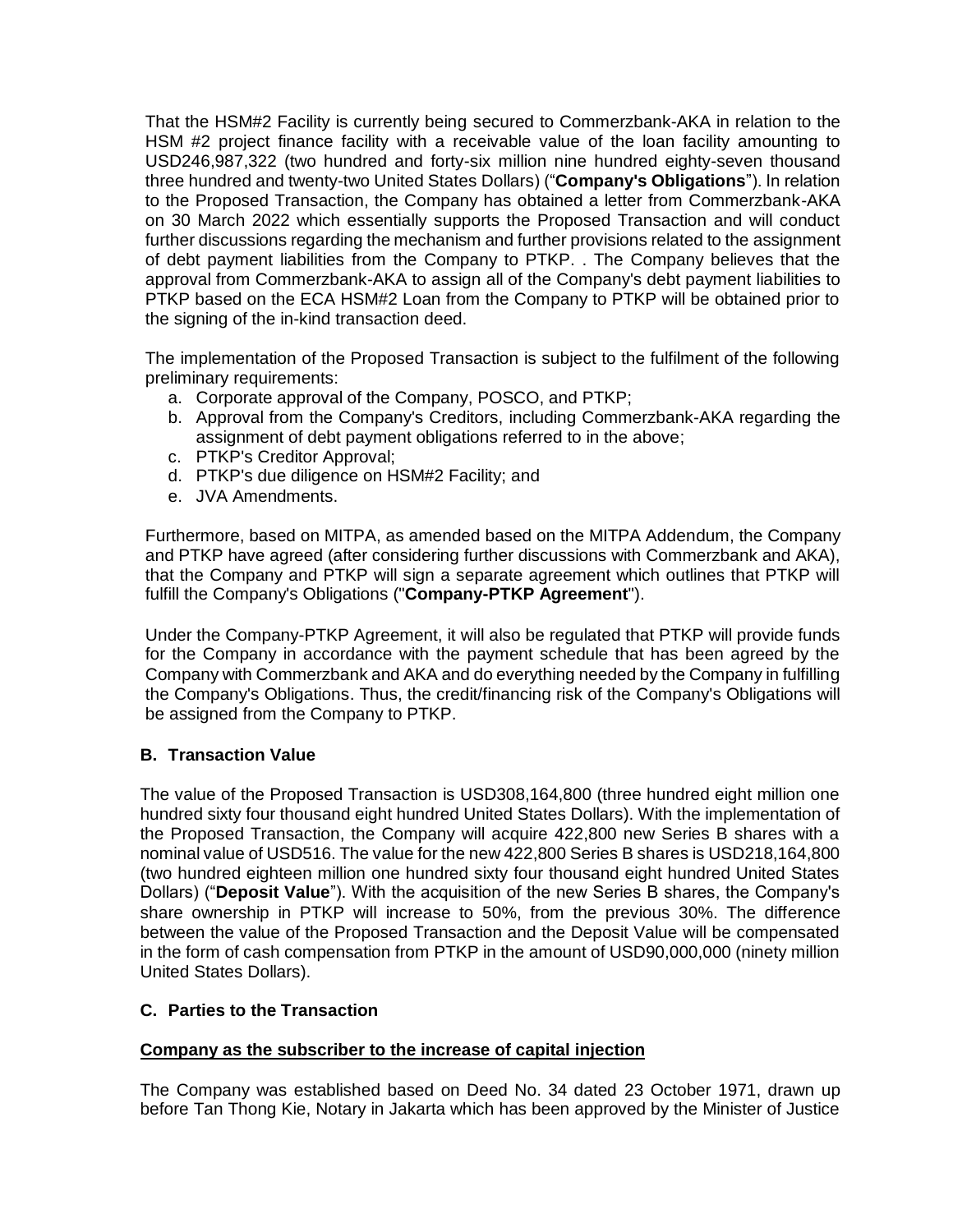That the HSM#2 Facility is currently being secured to Commerzbank-AKA in relation to the HSM #2 project finance facility with a receivable value of the loan facility amounting to USD246,987,322 (two hundred and forty-six million nine hundred eighty-seven thousand three hundred and twenty-two United States Dollars) ("**Company's Obligations**"). In relation to the Proposed Transaction, the Company has obtained a letter from Commerzbank-AKA on 30 March 2022 which essentially supports the Proposed Transaction and will conduct further discussions regarding the mechanism and further provisions related to the assignment of debt payment liabilities from the Company to PTKP. . The Company believes that the approval from Commerzbank-AKA to assign all of the Company's debt payment liabilities to PTKP based on the ECA HSM#2 Loan from the Company to PTKP will be obtained prior to the signing of the in-kind transaction deed.

The implementation of the Proposed Transaction is subject to the fulfilment of the following preliminary requirements:

- a. Corporate approval of the Company, POSCO, and PTKP;
- b. Approval from the Company's Creditors, including Commerzbank-AKA regarding the assignment of debt payment obligations referred to in the above;
- c. PTKP's Creditor Approval;
- d. PTKP's due diligence on HSM#2 Facility; and
- e. JVA Amendments.

Furthermore, based on MITPA, as amended based on the MITPA Addendum, the Company and PTKP have agreed (after considering further discussions with Commerzbank and AKA), that the Company and PTKP will sign a separate agreement which outlines that PTKP will fulfill the Company's Obligations ("**Company-PTKP Agreement**").

Under the Company-PTKP Agreement, it will also be regulated that PTKP will provide funds for the Company in accordance with the payment schedule that has been agreed by the Company with Commerzbank and AKA and do everything needed by the Company in fulfilling the Company's Obligations. Thus, the credit/financing risk of the Company's Obligations will be assigned from the Company to PTKP.

## **B. Transaction Value**

The value of the Proposed Transaction is USD308,164,800 (three hundred eight million one hundred sixty four thousand eight hundred United States Dollars). With the implementation of the Proposed Transaction, the Company will acquire 422,800 new Series B shares with a nominal value of USD516. The value for the new 422,800 Series B shares is USD218,164,800 (two hundred eighteen million one hundred sixty four thousand eight hundred United States Dollars) ("**Deposit Value**"). With the acquisition of the new Series B shares, the Company's share ownership in PTKP will increase to 50%, from the previous 30%. The difference between the value of the Proposed Transaction and the Deposit Value will be compensated in the form of cash compensation from PTKP in the amount of USD90,000,000 (ninety million United States Dollars).

## **C. Parties to the Transaction**

## **Company as the subscriber to the increase of capital injection**

The Company was established based on Deed No. 34 dated 23 October 1971, drawn up before Tan Thong Kie, Notary in Jakarta which has been approved by the Minister of Justice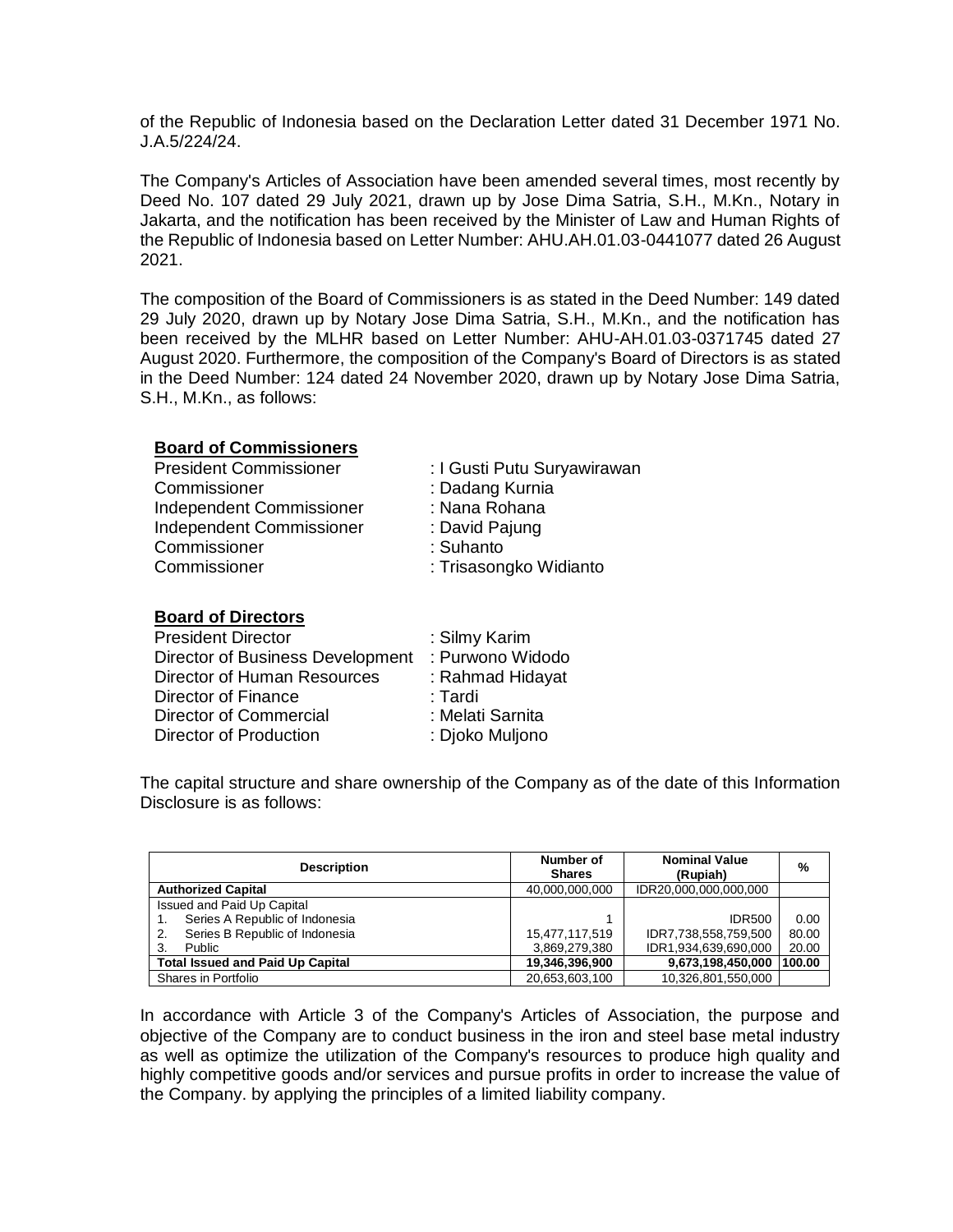of the Republic of Indonesia based on the Declaration Letter dated 31 December 1971 No. J.A.5/224/24.

The Company's Articles of Association have been amended several times, most recently by Deed No. 107 dated 29 July 2021, drawn up by Jose Dima Satria, S.H., M.Kn., Notary in Jakarta, and the notification has been received by the Minister of Law and Human Rights of the Republic of Indonesia based on Letter Number: AHU.AH.01.03-0441077 dated 26 August 2021.

The composition of the Board of Commissioners is as stated in the Deed Number: 149 dated 29 July 2020, drawn up by Notary Jose Dima Satria, S.H., M.Kn., and the notification has been received by the MLHR based on Letter Number: AHU-AH.01.03-0371745 dated 27 August 2020. Furthermore, the composition of the Company's Board of Directors is as stated in the Deed Number: 124 dated 24 November 2020, drawn up by Notary Jose Dima Satria, S.H., M.Kn., as follows:

## **Board of Commissioners**

| <b>President Commissioner</b> | : I Gusti Putu Suryawirawan |
|-------------------------------|-----------------------------|
| Commissioner                  | : Dadang Kurnia             |
| Independent Commissioner      | : Nana Rohana               |
| Independent Commissioner      | : David Pajung              |
| Commissioner                  | : Suhanto                   |
| Commissioner                  | : Trisasongko Widianto      |
|                               |                             |

#### **Board of Directors**

| <b>President Director</b>        | : Silmy Karim    |
|----------------------------------|------------------|
| Director of Business Development | : Purwono Widodo |
| Director of Human Resources      | : Rahmad Hidayat |
| Director of Finance              | : Tardi          |
| <b>Director of Commercial</b>    | : Melati Sarnita |
| <b>Director of Production</b>    | : Djoko Muljono  |

The capital structure and share ownership of the Company as of the date of this Information Disclosure is as follows:

| <b>Description</b>                      | Number of<br><b>Shares</b> | <b>Nominal Value</b><br>(Rupiah) | %      |
|-----------------------------------------|----------------------------|----------------------------------|--------|
| <b>Authorized Capital</b>               | 40.000.000.000             | IDR20,000,000,000,000            |        |
| Issued and Paid Up Capital              |                            |                                  |        |
| Series A Republic of Indonesia          |                            | <b>IDR500</b>                    | 0.00   |
| Series B Republic of Indonesia<br>2.    | 15,477,117,519             | IDR7,738,558,759,500             | 80.00  |
| Public                                  | 3,869,279,380              | IDR1,934,639,690,000             | 20.00  |
| <b>Total Issued and Paid Up Capital</b> | 19,346,396,900             | 9,673,198,450,000                | 100.00 |
| Shares in Portfolio                     | 20,653,603,100             | 10,326,801,550,000               |        |

In accordance with Article 3 of the Company's Articles of Association, the purpose and objective of the Company are to conduct business in the iron and steel base metal industry as well as optimize the utilization of the Company's resources to produce high quality and highly competitive goods and/or services and pursue profits in order to increase the value of the Company. by applying the principles of a limited liability company.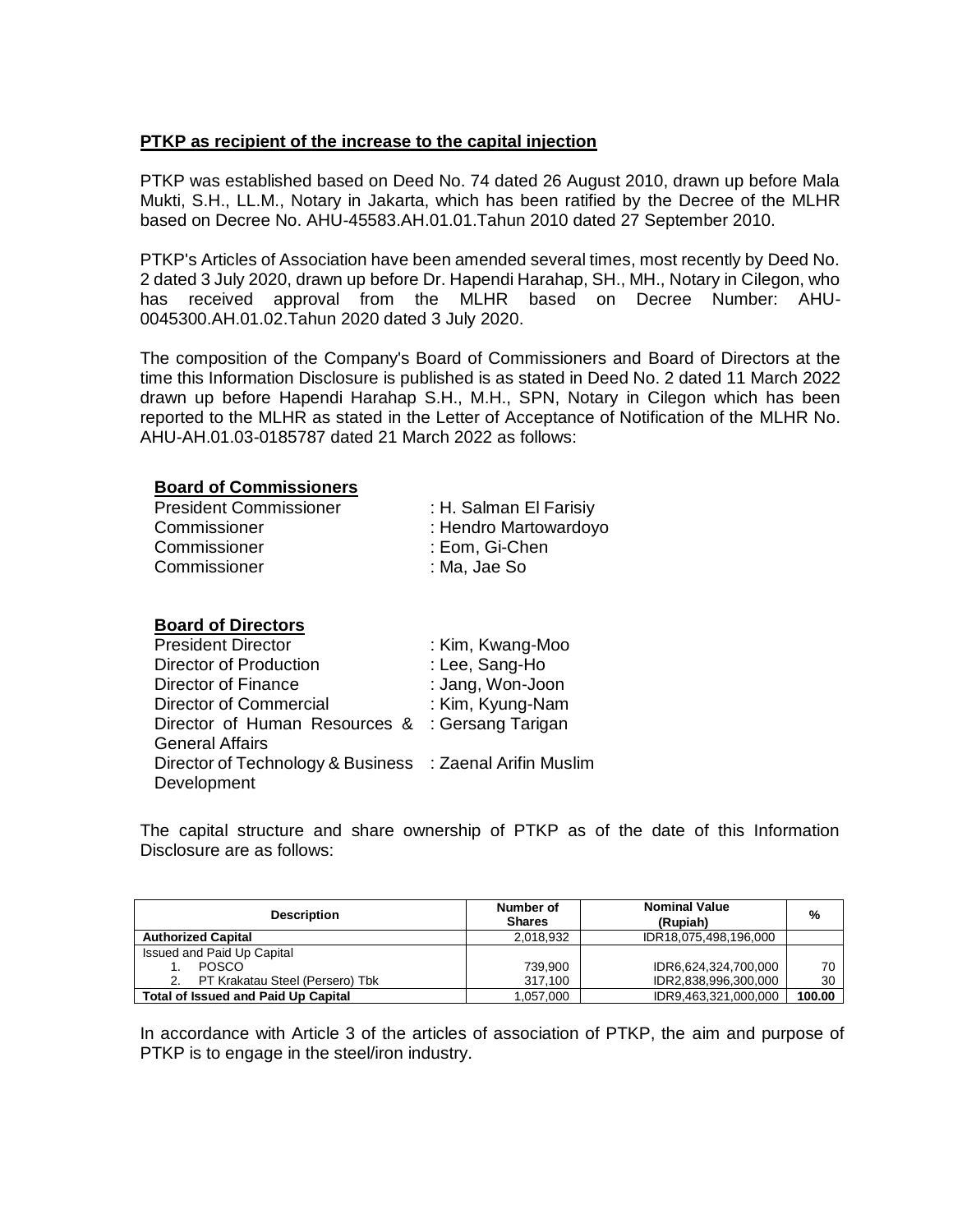## **PTKP as recipient of the increase to the capital injection**

PTKP was established based on Deed No. 74 dated 26 August 2010, drawn up before Mala Mukti, S.H., LL.M., Notary in Jakarta, which has been ratified by the Decree of the MLHR based on Decree No. AHU-45583.AH.01.01.Tahun 2010 dated 27 September 2010.

PTKP's Articles of Association have been amended several times, most recently by Deed No. 2 dated 3 July 2020, drawn up before Dr. Hapendi Harahap, SH., MH., Notary in Cilegon, who has received approval from the MLHR based on Decree Number: AHU-0045300.AH.01.02.Tahun 2020 dated 3 July 2020.

The composition of the Company's Board of Commissioners and Board of Directors at the time this Information Disclosure is published is as stated in Deed No. 2 dated 11 March 2022 drawn up before Hapendi Harahap S.H., M.H., SPN, Notary in Cilegon which has been reported to the MLHR as stated in the Letter of Acceptance of Notification of the MLHR No. AHU-AH.01.03-0185787 dated 21 March 2022 as follows:

#### **Board of Commissioners**

| <b>President Commissioner</b> | : H. Salman El Farisiy |
|-------------------------------|------------------------|
| Commissioner                  | : Hendro Martowardoyo  |
| Commissioner                  | : Eom, Gi-Chen         |
| Commissioner                  | : Ma, Jae So           |

#### **Board of Directors**

| <b>President Director</b>                                | : Kim, Kwang-Moo  |
|----------------------------------------------------------|-------------------|
| Director of Production                                   | : Lee, Sang-Ho    |
| Director of Finance                                      | : Jang, Won-Joon  |
| Director of Commercial                                   | : Kim, Kyung-Nam  |
| Director of Human Resources &                            | : Gersang Tarigan |
| <b>General Affairs</b>                                   |                   |
| Director of Technology & Business : Zaenal Arifin Muslim |                   |
| Development                                              |                   |

The capital structure and share ownership of PTKP as of the date of this Information Disclosure are as follows:

| <b>Description</b>                         | Number of<br><b>Shares</b> | <b>Nominal Value</b><br>(Rupiah) | %      |
|--------------------------------------------|----------------------------|----------------------------------|--------|
| <b>Authorized Capital</b>                  | 2,018,932                  | IDR18,075,498,196,000            |        |
| Issued and Paid Up Capital                 |                            |                                  |        |
| <b>POSCO</b>                               | 739.900                    | IDR6,624,324,700,000             | 70     |
| PT Krakatau Steel (Persero) Tbk            | 317,100                    | IDR2,838,996,300,000             | 30     |
| <b>Total of Issued and Paid Up Capital</b> | 1.057.000                  | IDR9,463,321,000,000             | 100.00 |

In accordance with Article 3 of the articles of association of PTKP, the aim and purpose of PTKP is to engage in the steel/iron industry.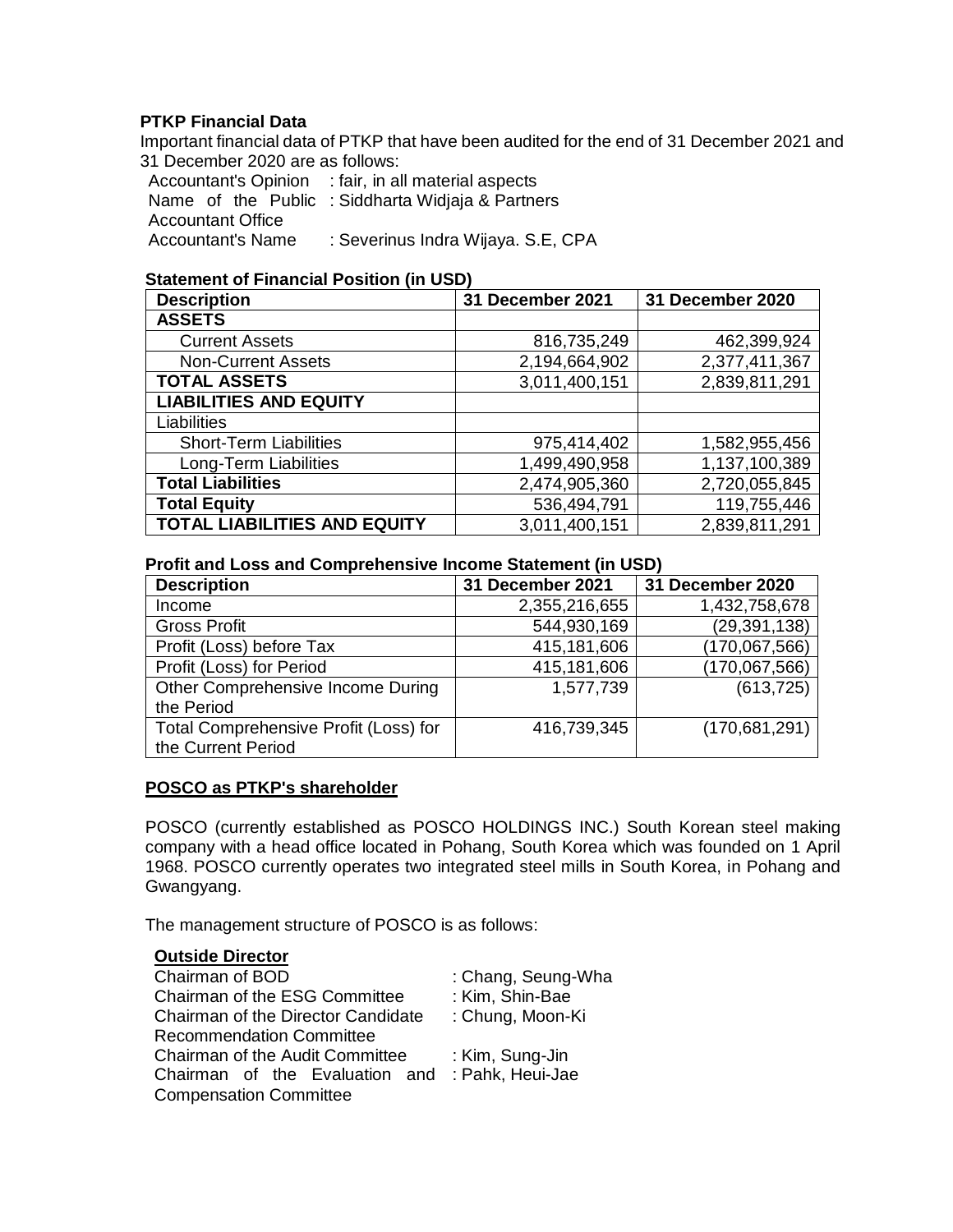## **PTKP Financial Data**

Important financial data of PTKP that have been audited for the end of 31 December 2021 and 31 December 2020 are as follows:

Accountant's Opinion : fair, in all material aspects Name of the Public : Siddharta Widjaja & Partners Accountant Office Accountant's Name : Severinus Indra Wijaya. S.E, CPA

## **Statement of Financial Position (in USD)**

| <b>Description</b>                  | 31 December 2021 | 31 December 2020 |
|-------------------------------------|------------------|------------------|
| <b>ASSETS</b>                       |                  |                  |
| <b>Current Assets</b>               | 816,735,249      | 462,399,924      |
| <b>Non-Current Assets</b>           | 2,194,664,902    | 2,377,411,367    |
| <b>TOTAL ASSETS</b>                 | 3,011,400,151    | 2,839,811,291    |
| <b>LIABILITIES AND EQUITY</b>       |                  |                  |
| Liabilities                         |                  |                  |
| <b>Short-Term Liabilities</b>       | 975,414,402      | 1,582,955,456    |
| Long-Term Liabilities               | 1,499,490,958    | 1,137,100,389    |
| <b>Total Liabilities</b>            | 2,474,905,360    | 2,720,055,845    |
| <b>Total Equity</b>                 | 536,494,791      | 119,755,446      |
| <b>TOTAL LIABILITIES AND EQUITY</b> | 3,011,400,151    | 2,839,811,291    |

## **Profit and Loss and Comprehensive Income Statement (in USD)**

| <b>Description</b>                    | 31 December 2021 | 31 December 2020 |
|---------------------------------------|------------------|------------------|
| Income                                | 2,355,216,655    | 1,432,758,678    |
| <b>Gross Profit</b>                   | 544,930,169      | (29, 391, 138)   |
| Profit (Loss) before Tax              | 415,181,606      | (170,067,566)    |
| Profit (Loss) for Period              | 415,181,606      | (170,067,566)    |
| Other Comprehensive Income During     | 1,577,739        | (613, 725)       |
| the Period                            |                  |                  |
| Total Comprehensive Profit (Loss) for | 416,739,345      | (170, 681, 291)  |
| the Current Period                    |                  |                  |

## **POSCO as PTKP's shareholder**

POSCO (currently established as POSCO HOLDINGS INC.) South Korean steel making company with a head office located in Pohang, South Korea which was founded on 1 April 1968. POSCO currently operates two integrated steel mills in South Korea, in Pohang and Gwangyang.

The management structure of POSCO is as follows:

#### **Outside Director** Chairman of BOD : Chang, Seung-Wha Chairman of the ESG Committee : Kim, Shin-Bae Chairman of the Director Candidate Recommendation Committee : Chung, Moon-Ki Chairman of the Audit Committee : Kim, Sung-Jin Chairman of the Evaluation and : Pahk, Heui-JaeCompensation Committee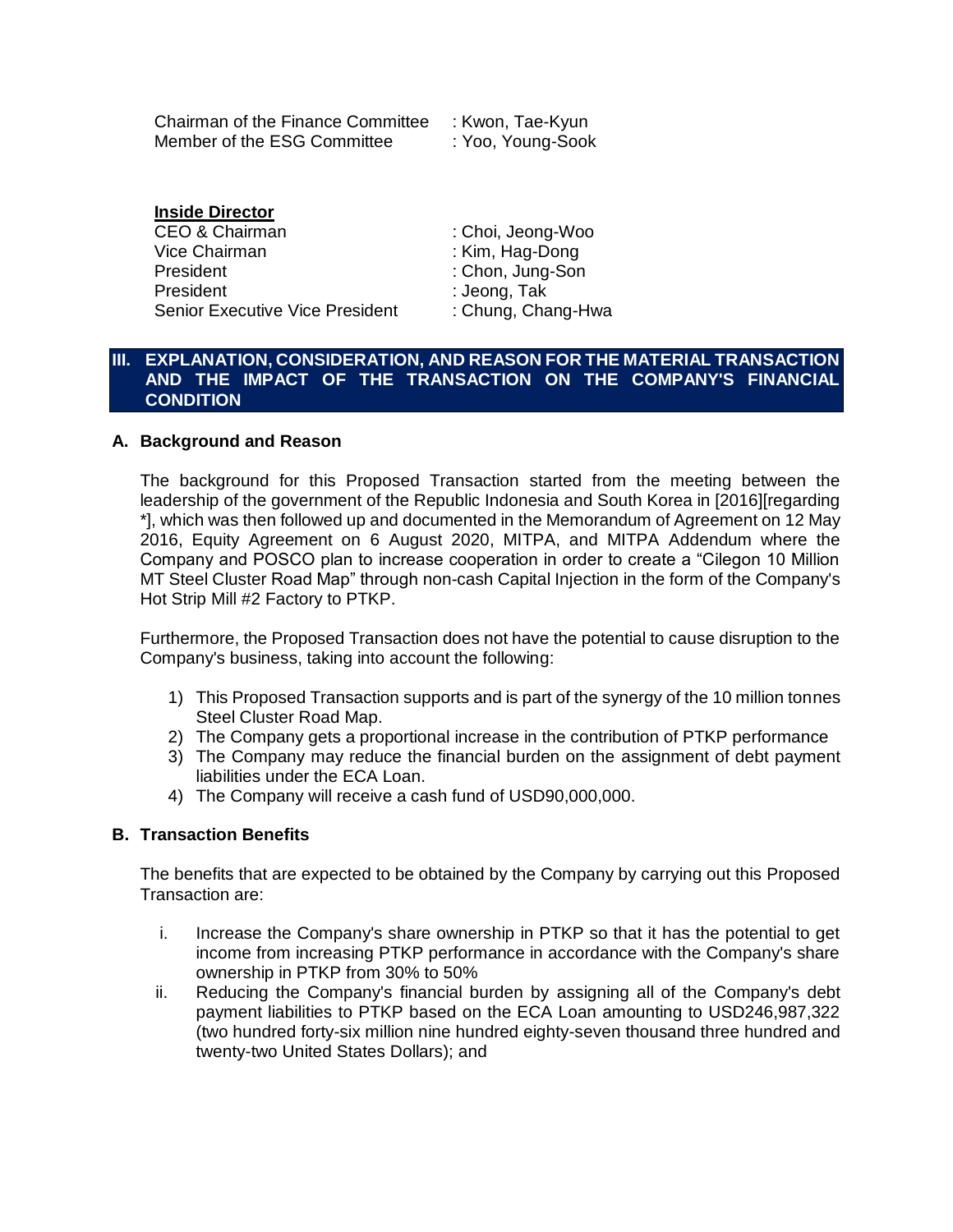| Chairman of the Finance Committee | : Kwon, Tae-Kyun  |
|-----------------------------------|-------------------|
| Member of the ESG Committee       | : Yoo, Young-Sook |

## **Inside Director**

CEO & Chairman : Choi, Jeong-Woo Vice Chairman : Kim, Hag-Dong President : Chon, Jung-Son President : Jeong, Tak Senior Executive Vice President : Chung, Chang-Hwa

## **III. EXPLANATION, CONSIDERATION, AND REASON FOR THE MATERIAL TRANSACTION AND THE IMPACT OF THE TRANSACTION ON THE COMPANY'S FINANCIAL CONDITION**

## **A. Background and Reason**

The background for this Proposed Transaction started from the meeting between the leadership of the government of the Republic Indonesia and South Korea in [2016][regarding \*], which was then followed up and documented in the Memorandum of Agreement on 12 May 2016, Equity Agreement on 6 August 2020, MITPA, and MITPA Addendum where the Company and POSCO plan to increase cooperation in order to create a "Cilegon 10 Million MT Steel Cluster Road Map" through non-cash Capital Injection in the form of the Company's Hot Strip Mill #2 Factory to PTKP.

Furthermore, the Proposed Transaction does not have the potential to cause disruption to the Company's business, taking into account the following:

- 1) This Proposed Transaction supports and is part of the synergy of the 10 million tonnes Steel Cluster Road Map.
- 2) The Company gets a proportional increase in the contribution of PTKP performance
- 3) The Company may reduce the financial burden on the assignment of debt payment liabilities under the ECA Loan.
- 4) The Company will receive a cash fund of USD90,000,000.

## **B. Transaction Benefits**

The benefits that are expected to be obtained by the Company by carrying out this Proposed Transaction are:

- i. Increase the Company's share ownership in PTKP so that it has the potential to get income from increasing PTKP performance in accordance with the Company's share ownership in PTKP from 30% to 50%
- ii. Reducing the Company's financial burden by assigning all of the Company's debt payment liabilities to PTKP based on the ECA Loan amounting to USD246,987,322 (two hundred forty-six million nine hundred eighty-seven thousand three hundred and twenty-two United States Dollars); and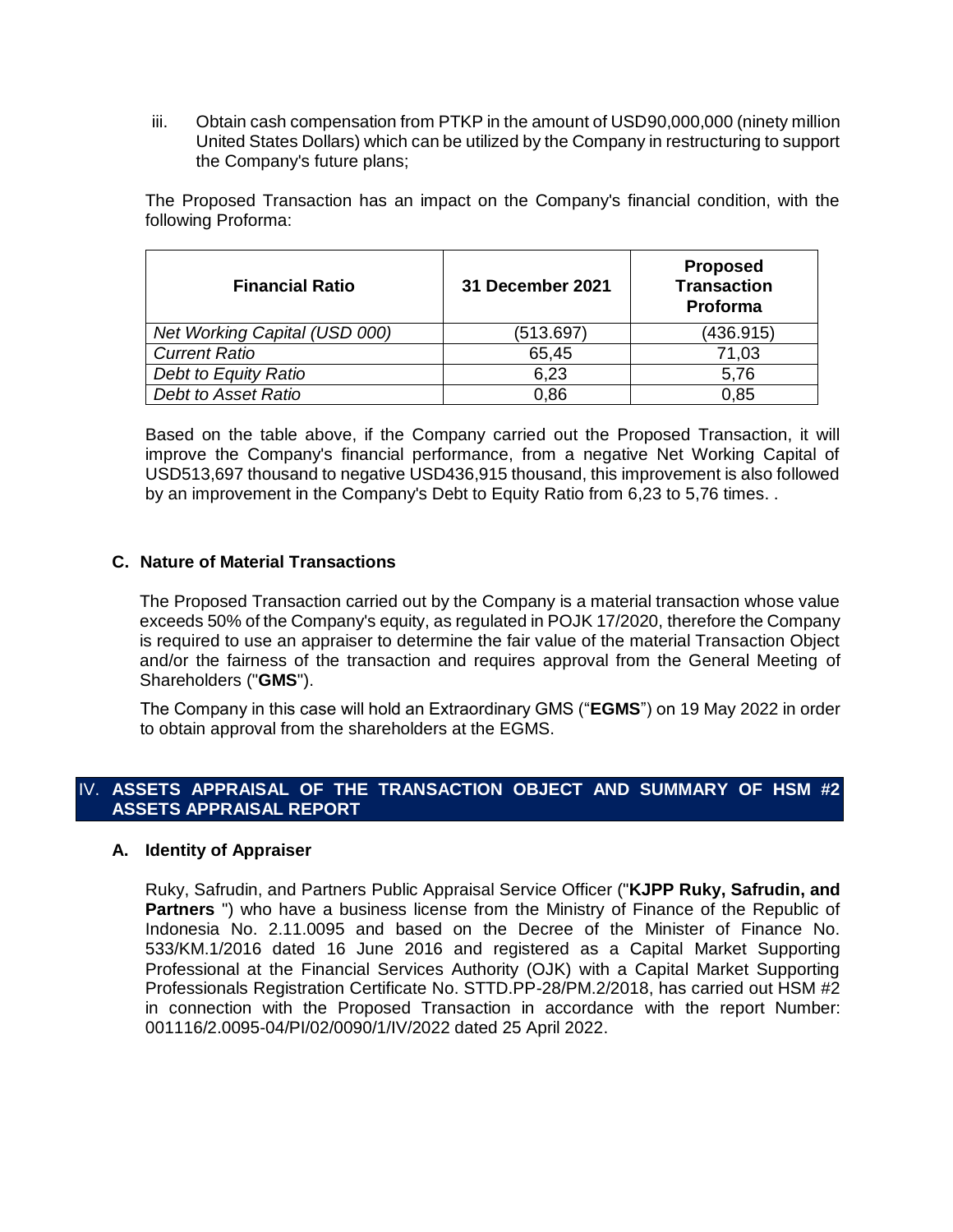iii. Obtain cash compensation from PTKP in the amount of USD90,000,000 (ninety million United States Dollars) which can be utilized by the Company in restructuring to support the Company's future plans;

The Proposed Transaction has an impact on the Company's financial condition, with the following Proforma:

| <b>Financial Ratio</b>        | <b>31 December 2021</b> | <b>Proposed</b><br><b>Transaction</b><br>Proforma |
|-------------------------------|-------------------------|---------------------------------------------------|
| Net Working Capital (USD 000) | (513.697)               | (436.915)                                         |
| <b>Current Ratio</b>          | 65,45                   | 71,03                                             |
| Debt to Equity Ratio          | 6,23                    | 5,76                                              |
| Debt to Asset Ratio           | 0.86                    | 0.85                                              |

Based on the table above, if the Company carried out the Proposed Transaction, it will improve the Company's financial performance, from a negative Net Working Capital of USD513,697 thousand to negative USD436,915 thousand, this improvement is also followed by an improvement in the Company's Debt to Equity Ratio from 6,23 to 5,76 times. .

## **C. Nature of Material Transactions**

The Proposed Transaction carried out by the Company is a material transaction whose value exceeds 50% of the Company's equity, as regulated in POJK 17/2020, therefore the Company is required to use an appraiser to determine the fair value of the material Transaction Object and/or the fairness of the transaction and requires approval from the General Meeting of Shareholders ("**GMS**").

The Company in this case will hold an Extraordinary GMS ("**EGMS**") on 19 May 2022 in order to obtain approval from the shareholders at the EGMS.

## IV. **ASSETS APPRAISAL OF THE TRANSACTION OBJECT AND SUMMARY OF HSM #2 ASSETS APPRAISAL REPORT**

#### **A. Identity of Appraiser**

Ruky, Safrudin, and Partners Public Appraisal Service Officer ("**KJPP Ruky, Safrudin, and Partners** ") who have a business license from the Ministry of Finance of the Republic of Indonesia No. 2.11.0095 and based on the Decree of the Minister of Finance No. 533/KM.1/2016 dated 16 June 2016 and registered as a Capital Market Supporting Professional at the Financial Services Authority (OJK) with a Capital Market Supporting Professionals Registration Certificate No. STTD.PP-28/PM.2/2018, has carried out HSM #2 in connection with the Proposed Transaction in accordance with the report Number: 001116/2.0095-04/PI/02/0090/1/IV/2022 dated 25 April 2022.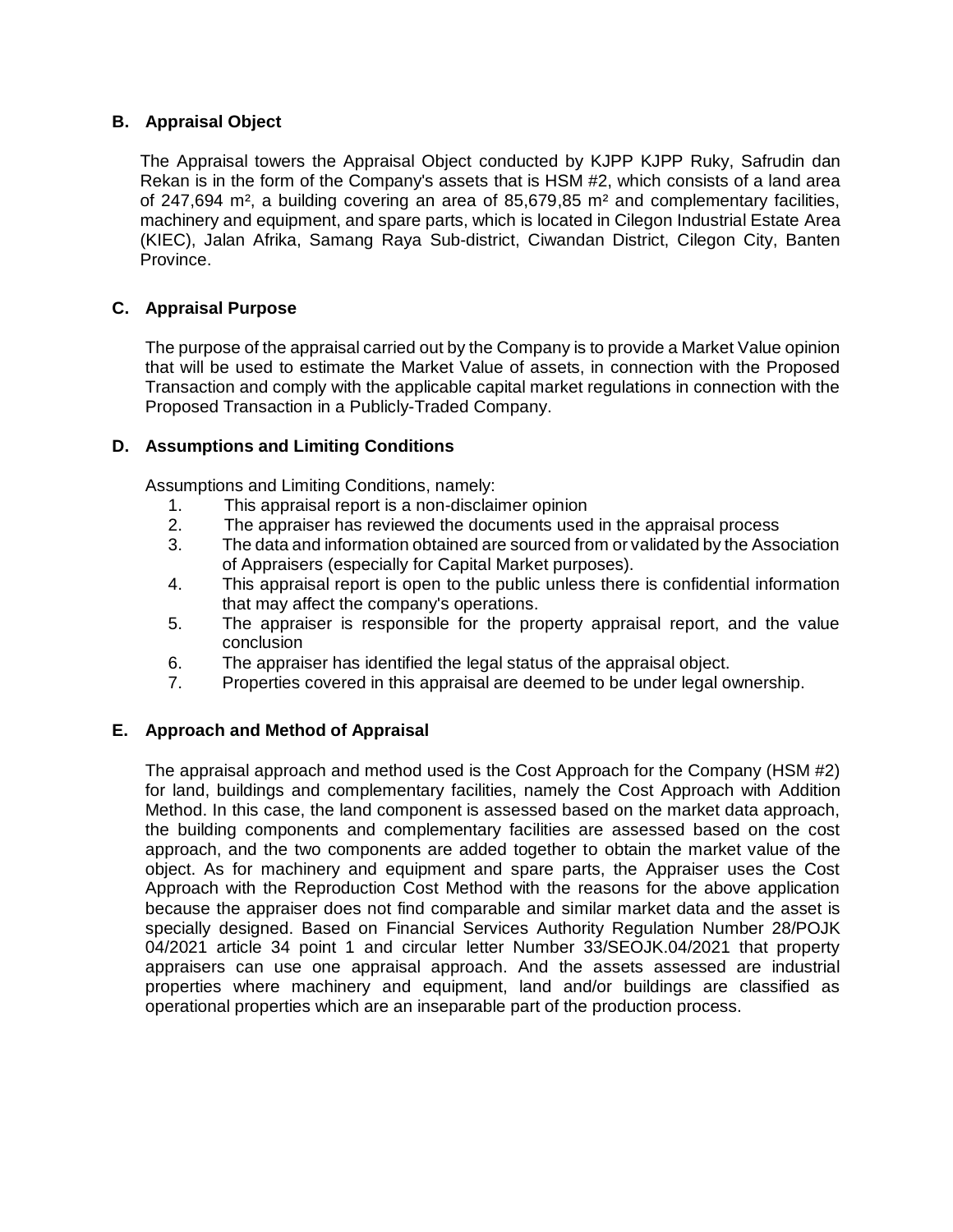## **B. Appraisal Object**

The Appraisal towers the Appraisal Object conducted by KJPP KJPP Ruky, Safrudin dan Rekan is in the form of the Company's assets that is HSM #2, which consists of a land area of 247,694 m², a building covering an area of 85,679,85 m² and complementary facilities, machinery and equipment, and spare parts, which is located in Cilegon Industrial Estate Area (KIEC), Jalan Afrika, Samang Raya Sub-district, Ciwandan District, Cilegon City, Banten Province.

## **C. Appraisal Purpose**

The purpose of the appraisal carried out by the Company is to provide a Market Value opinion that will be used to estimate the Market Value of assets, in connection with the Proposed Transaction and comply with the applicable capital market regulations in connection with the Proposed Transaction in a Publicly-Traded Company.

## **D. Assumptions and Limiting Conditions**

Assumptions and Limiting Conditions, namely:

- 1. This appraisal report is a non-disclaimer opinion
- 2. The appraiser has reviewed the documents used in the appraisal process
- 3. The data and information obtained are sourced from or validated by the Association of Appraisers (especially for Capital Market purposes).
- 4. This appraisal report is open to the public unless there is confidential information that may affect the company's operations.
- 5. The appraiser is responsible for the property appraisal report, and the value conclusion
- 6. The appraiser has identified the legal status of the appraisal object.
- 7. Properties covered in this appraisal are deemed to be under legal ownership.

## **E. Approach and Method of Appraisal**

The appraisal approach and method used is the Cost Approach for the Company (HSM #2) for land, buildings and complementary facilities, namely the Cost Approach with Addition Method. In this case, the land component is assessed based on the market data approach, the building components and complementary facilities are assessed based on the cost approach, and the two components are added together to obtain the market value of the object. As for machinery and equipment and spare parts, the Appraiser uses the Cost Approach with the Reproduction Cost Method with the reasons for the above application because the appraiser does not find comparable and similar market data and the asset is specially designed. Based on Financial Services Authority Regulation Number 28/POJK 04/2021 article 34 point 1 and circular letter Number 33/SEOJK.04/2021 that property appraisers can use one appraisal approach. And the assets assessed are industrial properties where machinery and equipment, land and/or buildings are classified as operational properties which are an inseparable part of the production process.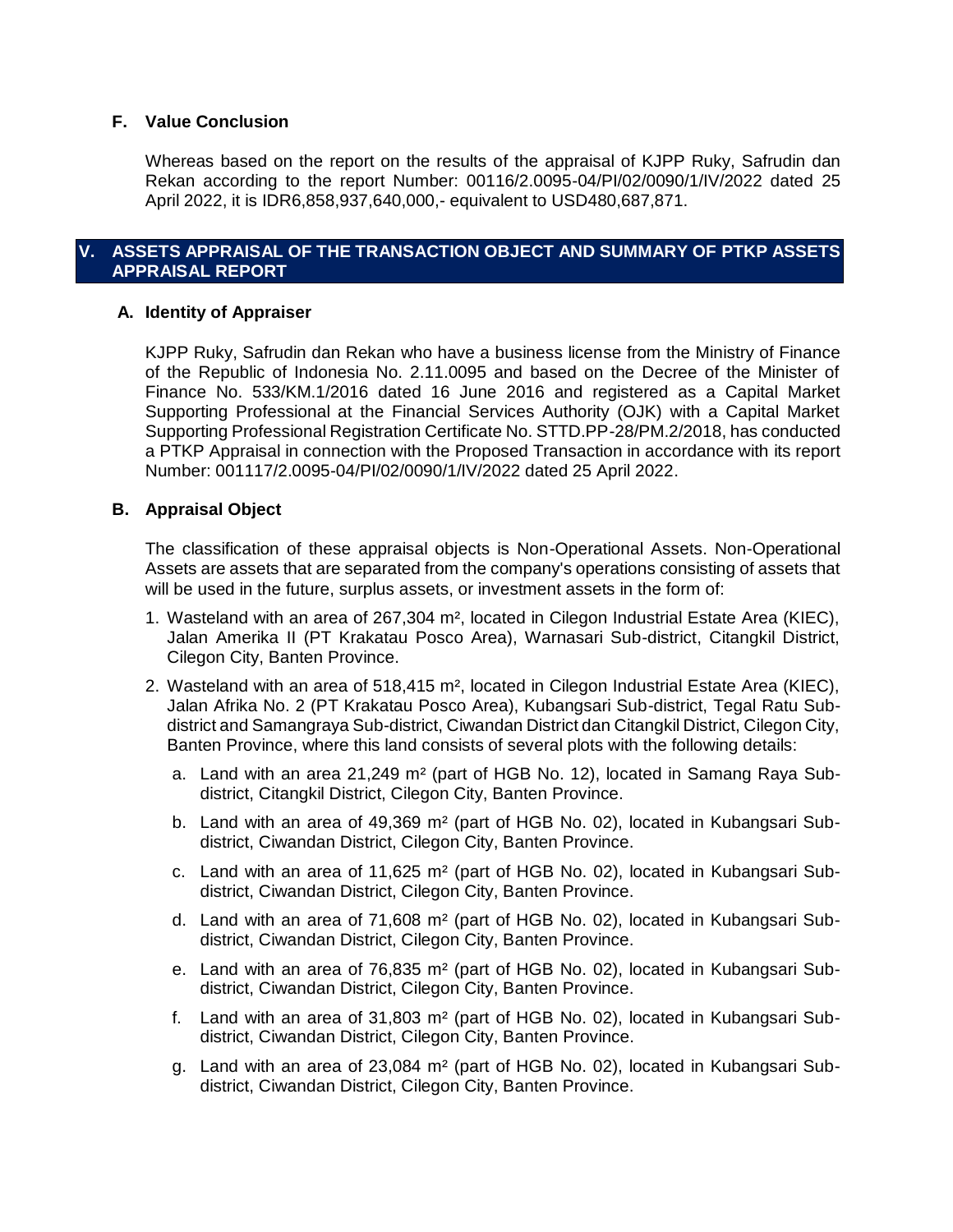## **F. Value Conclusion**

Whereas based on the report on the results of the appraisal of KJPP Ruky, Safrudin dan Rekan according to the report Number: 00116/2.0095-04/PI/02/0090/1/IV/2022 dated 25 April 2022, it is IDR6,858,937,640,000,- equivalent to USD480,687,871.

## **V. ASSETS APPRAISAL OF THE TRANSACTION OBJECT AND SUMMARY OF PTKP ASSETS APPRAISAL REPORT**

## **A. Identity of Appraiser**

KJPP Ruky, Safrudin dan Rekan who have a business license from the Ministry of Finance of the Republic of Indonesia No. 2.11.0095 and based on the Decree of the Minister of Finance No. 533/KM.1/2016 dated 16 June 2016 and registered as a Capital Market Supporting Professional at the Financial Services Authority (OJK) with a Capital Market Supporting Professional Registration Certificate No. STTD.PP-28/PM.2/2018, has conducted a PTKP Appraisal in connection with the Proposed Transaction in accordance with its report Number: 001117/2.0095-04/PI/02/0090/1/IV/2022 dated 25 April 2022.

#### **B. Appraisal Object**

The classification of these appraisal objects is Non-Operational Assets. Non-Operational Assets are assets that are separated from the company's operations consisting of assets that will be used in the future, surplus assets, or investment assets in the form of:

- 1. Wasteland with an area of 267,304 m², located in Cilegon Industrial Estate Area (KIEC), Jalan Amerika II (PT Krakatau Posco Area), Warnasari Sub-district, Citangkil District, Cilegon City, Banten Province.
- 2. Wasteland with an area of 518,415 m², located in Cilegon Industrial Estate Area (KIEC), Jalan Afrika No. 2 (PT Krakatau Posco Area), Kubangsari Sub-district, Tegal Ratu Subdistrict and Samangraya Sub-district, Ciwandan District dan Citangkil District, Cilegon City, Banten Province, where this land consists of several plots with the following details:
	- a. Land with an area 21,249  $m^2$  (part of HGB No. 12), located in Samang Raya Subdistrict, Citangkil District, Cilegon City, Banten Province.
	- b. Land with an area of 49,369 m² (part of HGB No. 02), located in Kubangsari Subdistrict, Ciwandan District, Cilegon City, Banten Province.
	- c. Land with an area of 11,625 m² (part of HGB No. 02), located in Kubangsari Subdistrict, Ciwandan District, Cilegon City, Banten Province.
	- d. Land with an area of 71,608 m² (part of HGB No. 02), located in Kubangsari Subdistrict, Ciwandan District, Cilegon City, Banten Province.
	- e. Land with an area of 76,835 m² (part of HGB No. 02), located in Kubangsari Subdistrict, Ciwandan District, Cilegon City, Banten Province.
	- f. Land with an area of 31,803 m² (part of HGB No. 02), located in Kubangsari Subdistrict, Ciwandan District, Cilegon City, Banten Province.
	- g. Land with an area of 23,084 m² (part of HGB No. 02), located in Kubangsari Subdistrict, Ciwandan District, Cilegon City, Banten Province.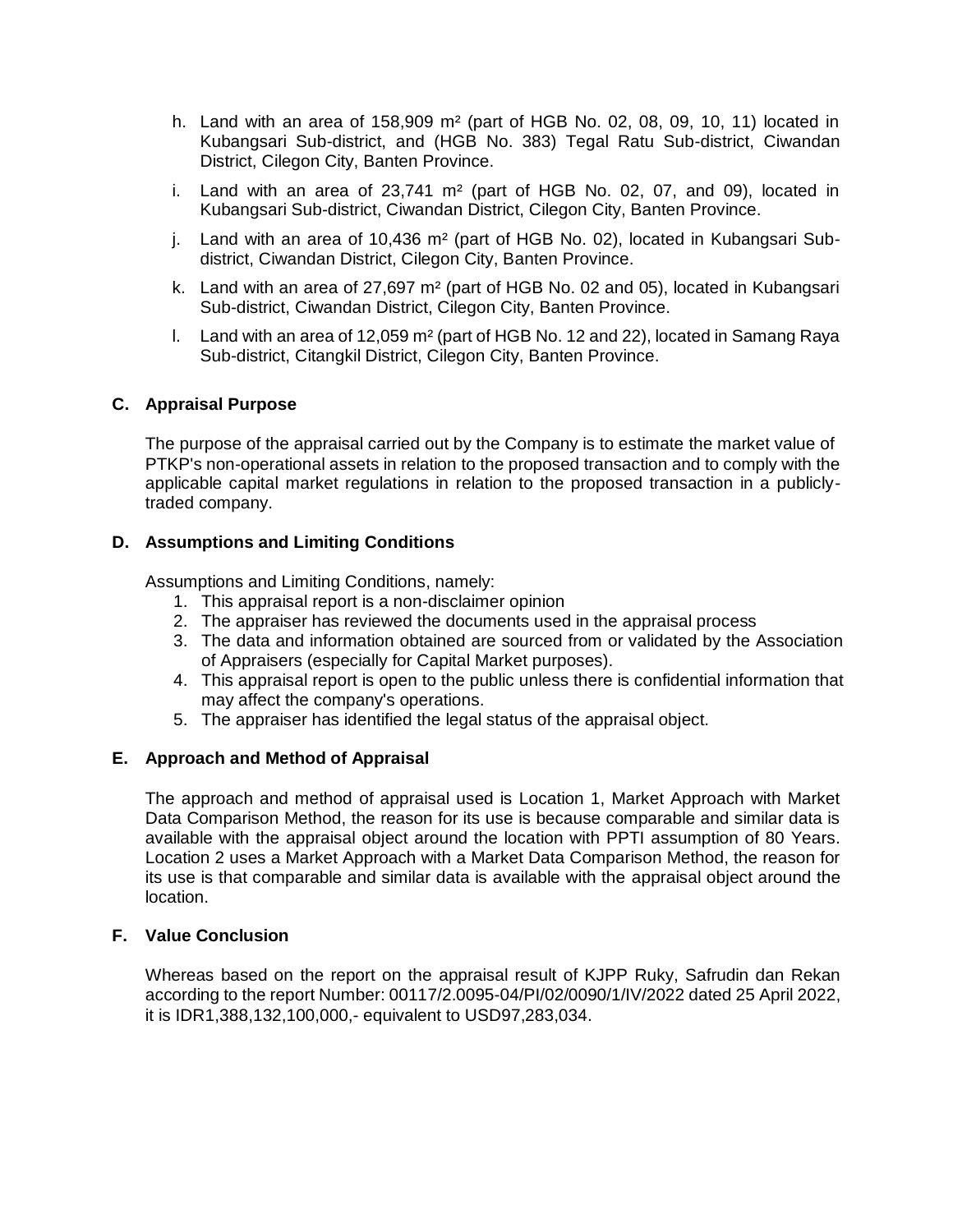- h. Land with an area of 158,909 m² (part of HGB No. 02, 08, 09, 10, 11) located in Kubangsari Sub-district, and (HGB No. 383) Tegal Ratu Sub-district, Ciwandan District, Cilegon City, Banten Province.
- i. Land with an area of  $23.741 \text{ m}^2$  (part of HGB No. 02, 07, and 09), located in Kubangsari Sub-district, Ciwandan District, Cilegon City, Banten Province.
- j. Land with an area of 10,436 m² (part of HGB No. 02), located in Kubangsari Subdistrict, Ciwandan District, Cilegon City, Banten Province.
- k. Land with an area of 27,697 m² (part of HGB No. 02 and 05), located in Kubangsari Sub-district, Ciwandan District, Cilegon City, Banten Province.
- l. Land with an area of 12,059 m² (part of HGB No. 12 and 22), located in Samang Raya Sub-district, Citangkil District, Cilegon City, Banten Province.

## **C. Appraisal Purpose**

The purpose of the appraisal carried out by the Company is to estimate the market value of PTKP's non-operational assets in relation to the proposed transaction and to comply with the applicable capital market regulations in relation to the proposed transaction in a publiclytraded company.

## **D. Assumptions and Limiting Conditions**

Assumptions and Limiting Conditions, namely:

- 1. This appraisal report is a non-disclaimer opinion
- 2. The appraiser has reviewed the documents used in the appraisal process
- 3. The data and information obtained are sourced from or validated by the Association of Appraisers (especially for Capital Market purposes).
- 4. This appraisal report is open to the public unless there is confidential information that may affect the company's operations.
- 5. The appraiser has identified the legal status of the appraisal object.

#### **E. Approach and Method of Appraisal**

The approach and method of appraisal used is Location 1, Market Approach with Market Data Comparison Method, the reason for its use is because comparable and similar data is available with the appraisal object around the location with PPTI assumption of 80 Years. Location 2 uses a Market Approach with a Market Data Comparison Method, the reason for its use is that comparable and similar data is available with the appraisal object around the location.

## **F. Value Conclusion**

Whereas based on the report on the appraisal result of KJPP Ruky, Safrudin dan Rekan according to the report Number: 00117/2.0095-04/PI/02/0090/1/IV/2022 dated 25 April 2022, it is IDR1,388,132,100,000,- equivalent to USD97,283,034.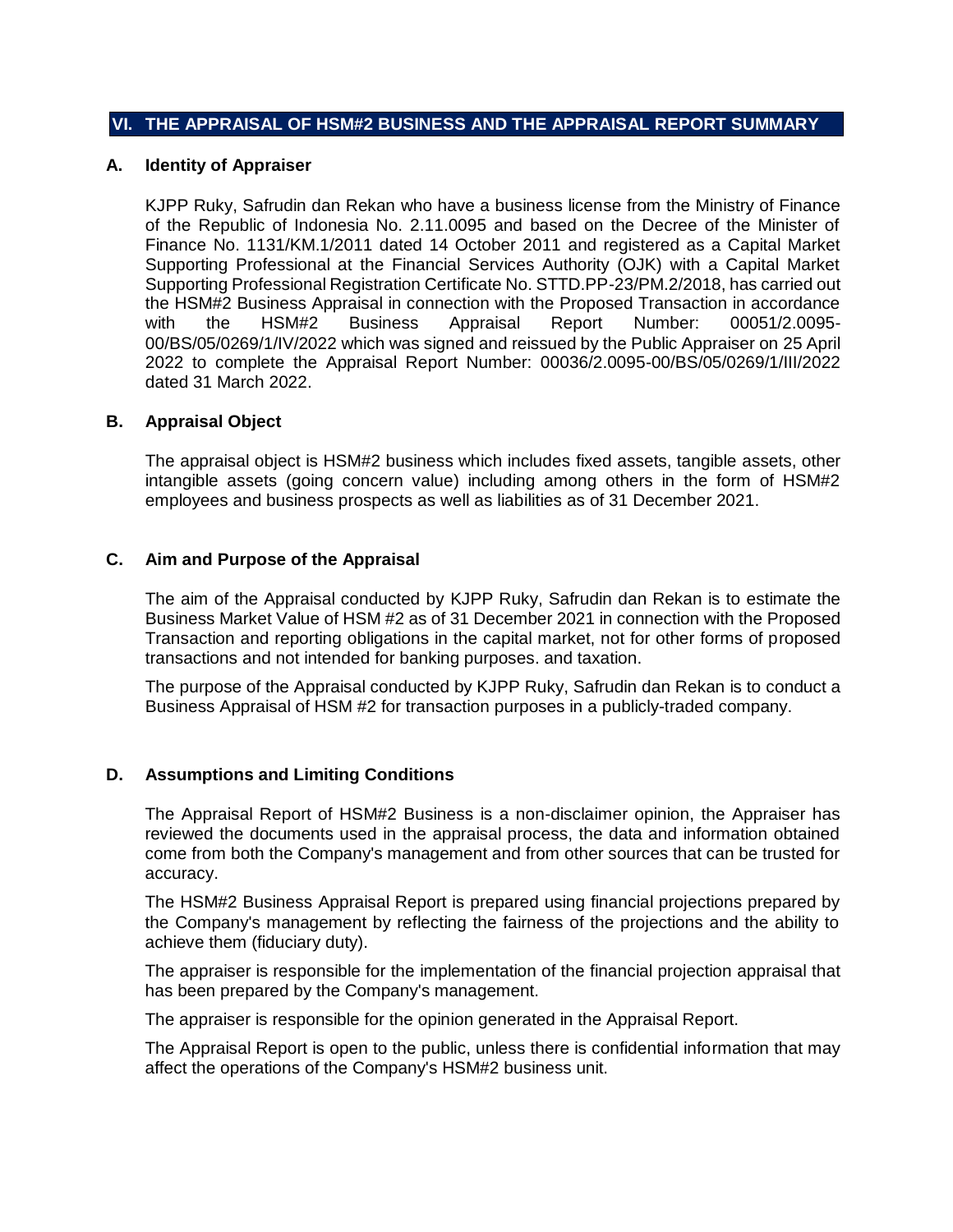#### **VI. THE APPRAISAL OF HSM#2 BUSINESS AND THE APPRAISAL REPORT SUMMARY**

#### **A. Identity of Appraiser**

KJPP Ruky, Safrudin dan Rekan who have a business license from the Ministry of Finance of the Republic of Indonesia No. 2.11.0095 and based on the Decree of the Minister of Finance No. 1131/KM.1/2011 dated 14 October 2011 and registered as a Capital Market Supporting Professional at the Financial Services Authority (OJK) with a Capital Market Supporting Professional Registration Certificate No. STTD.PP-23/PM.2/2018, has carried out the HSM#2 Business Appraisal in connection with the Proposed Transaction in accordance with the HSM#2 Business Appraisal Report Number: 00051/2.0095- 00/BS/05/0269/1/IV/2022 which was signed and reissued by the Public Appraiser on 25 April 2022 to complete the Appraisal Report Number: 00036/2.0095-00/BS/05/0269/1/III/2022 dated 31 March 2022.

#### **B. Appraisal Object**

The appraisal object is HSM#2 business which includes fixed assets, tangible assets, other intangible assets (going concern value) including among others in the form of HSM#2 employees and business prospects as well as liabilities as of 31 December 2021.

#### **C. Aim and Purpose of the Appraisal**

The aim of the Appraisal conducted by KJPP Ruky, Safrudin dan Rekan is to estimate the Business Market Value of HSM #2 as of 31 December 2021 in connection with the Proposed Transaction and reporting obligations in the capital market, not for other forms of proposed transactions and not intended for banking purposes. and taxation.

The purpose of the Appraisal conducted by KJPP Ruky, Safrudin dan Rekan is to conduct a Business Appraisal of HSM #2 for transaction purposes in a publicly-traded company.

#### **D. Assumptions and Limiting Conditions**

The Appraisal Report of HSM#2 Business is a non-disclaimer opinion, the Appraiser has reviewed the documents used in the appraisal process, the data and information obtained come from both the Company's management and from other sources that can be trusted for accuracy.

The HSM#2 Business Appraisal Report is prepared using financial projections prepared by the Company's management by reflecting the fairness of the projections and the ability to achieve them (fiduciary duty).

The appraiser is responsible for the implementation of the financial projection appraisal that has been prepared by the Company's management.

The appraiser is responsible for the opinion generated in the Appraisal Report.

The Appraisal Report is open to the public, unless there is confidential information that may affect the operations of the Company's HSM#2 business unit.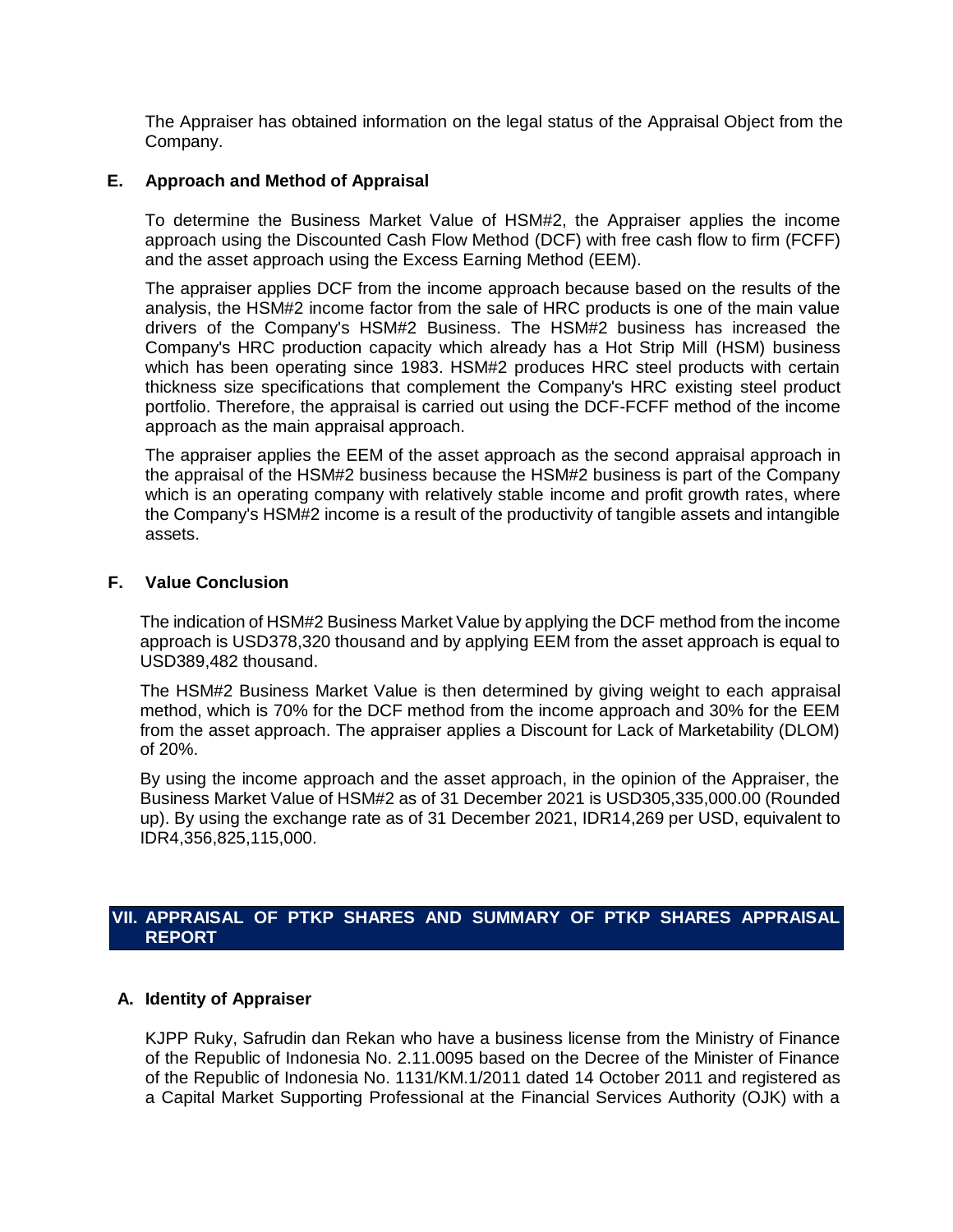The Appraiser has obtained information on the legal status of the Appraisal Object from the Company.

## **E. Approach and Method of Appraisal**

To determine the Business Market Value of HSM#2, the Appraiser applies the income approach using the Discounted Cash Flow Method (DCF) with free cash flow to firm (FCFF) and the asset approach using the Excess Earning Method (EEM).

The appraiser applies DCF from the income approach because based on the results of the analysis, the HSM#2 income factor from the sale of HRC products is one of the main value drivers of the Company's HSM#2 Business. The HSM#2 business has increased the Company's HRC production capacity which already has a Hot Strip Mill (HSM) business which has been operating since 1983. HSM#2 produces HRC steel products with certain thickness size specifications that complement the Company's HRC existing steel product portfolio. Therefore, the appraisal is carried out using the DCF-FCFF method of the income approach as the main appraisal approach.

The appraiser applies the EEM of the asset approach as the second appraisal approach in the appraisal of the HSM#2 business because the HSM#2 business is part of the Company which is an operating company with relatively stable income and profit growth rates, where the Company's HSM#2 income is a result of the productivity of tangible assets and intangible assets.

## **F. Value Conclusion**

The indication of HSM#2 Business Market Value by applying the DCF method from the income approach is USD378,320 thousand and by applying EEM from the asset approach is equal to USD389,482 thousand.

The HSM#2 Business Market Value is then determined by giving weight to each appraisal method, which is 70% for the DCF method from the income approach and 30% for the EEM from the asset approach. The appraiser applies a Discount for Lack of Marketability (DLOM) of 20%.

By using the income approach and the asset approach, in the opinion of the Appraiser, the Business Market Value of HSM#2 as of 31 December 2021 is USD305,335,000.00 (Rounded up). By using the exchange rate as of 31 December 2021, IDR14,269 per USD, equivalent to IDR4,356,825,115,000.

## **VII. APPRAISAL OF PTKP SHARES AND SUMMARY OF PTKP SHARES APPRAISAL REPORT**

## **A. Identity of Appraiser**

KJPP Ruky, Safrudin dan Rekan who have a business license from the Ministry of Finance of the Republic of Indonesia No. 2.11.0095 based on the Decree of the Minister of Finance of the Republic of Indonesia No. 1131/KM.1/2011 dated 14 October 2011 and registered as a Capital Market Supporting Professional at the Financial Services Authority (OJK) with a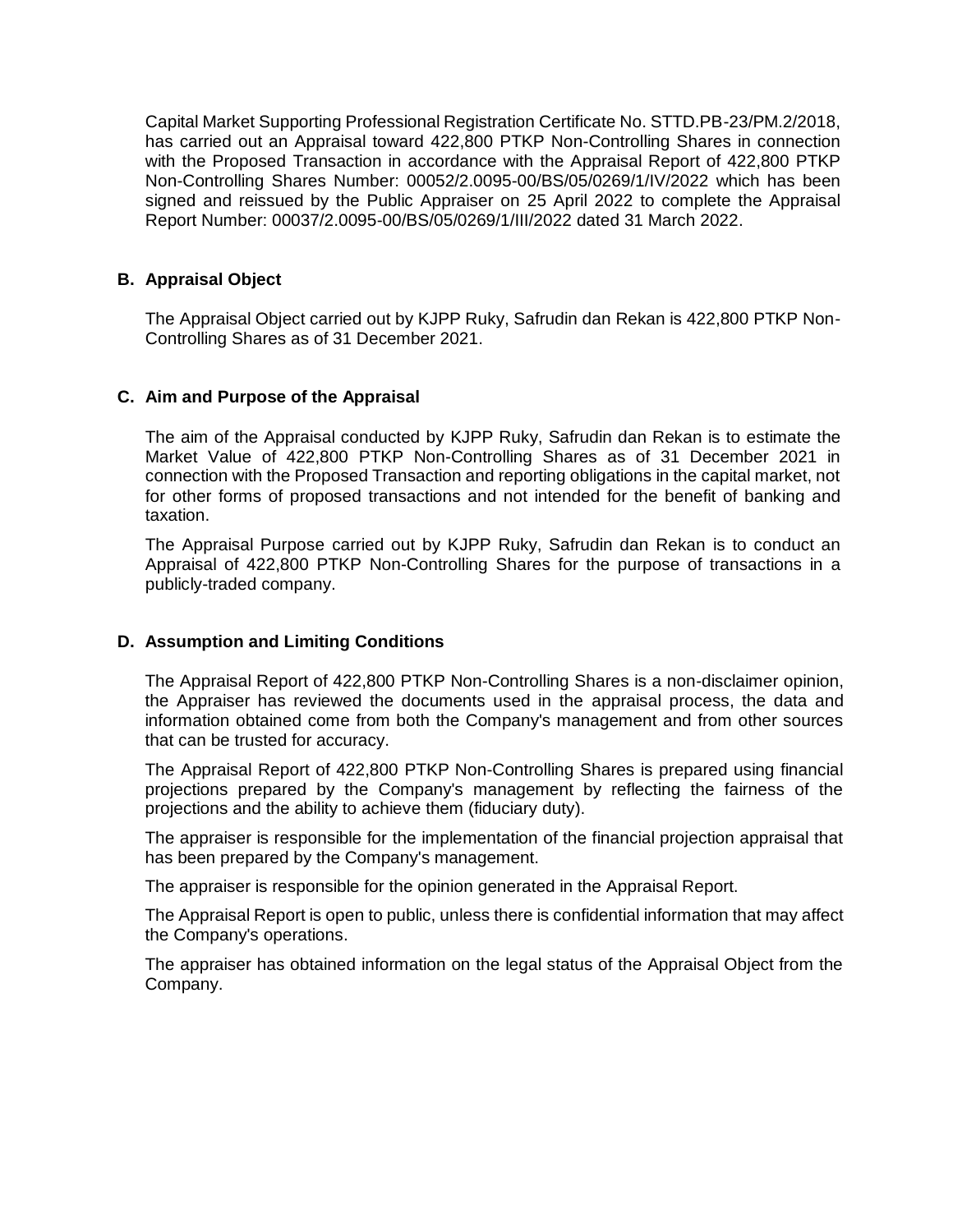Capital Market Supporting Professional Registration Certificate No. STTD.PB-23/PM.2/2018, has carried out an Appraisal toward 422,800 PTKP Non-Controlling Shares in connection with the Proposed Transaction in accordance with the Appraisal Report of 422,800 PTKP Non-Controlling Shares Number: 00052/2.0095-00/BS/05/0269/1/IV/2022 which has been signed and reissued by the Public Appraiser on 25 April 2022 to complete the Appraisal Report Number: 00037/2.0095-00/BS/05/0269/1/III/2022 dated 31 March 2022.

## **B. Appraisal Object**

The Appraisal Object carried out by KJPP Ruky, Safrudin dan Rekan is 422,800 PTKP Non-Controlling Shares as of 31 December 2021.

## **C. Aim and Purpose of the Appraisal**

The aim of the Appraisal conducted by KJPP Ruky, Safrudin dan Rekan is to estimate the Market Value of 422,800 PTKP Non-Controlling Shares as of 31 December 2021 in connection with the Proposed Transaction and reporting obligations in the capital market, not for other forms of proposed transactions and not intended for the benefit of banking and taxation.

The Appraisal Purpose carried out by KJPP Ruky, Safrudin dan Rekan is to conduct an Appraisal of 422,800 PTKP Non-Controlling Shares for the purpose of transactions in a publicly-traded company.

## **D. Assumption and Limiting Conditions**

The Appraisal Report of 422,800 PTKP Non-Controlling Shares is a non-disclaimer opinion, the Appraiser has reviewed the documents used in the appraisal process, the data and information obtained come from both the Company's management and from other sources that can be trusted for accuracy.

The Appraisal Report of 422,800 PTKP Non-Controlling Shares is prepared using financial projections prepared by the Company's management by reflecting the fairness of the projections and the ability to achieve them (fiduciary duty).

The appraiser is responsible for the implementation of the financial projection appraisal that has been prepared by the Company's management.

The appraiser is responsible for the opinion generated in the Appraisal Report.

The Appraisal Report is open to public, unless there is confidential information that may affect the Company's operations.

The appraiser has obtained information on the legal status of the Appraisal Object from the Company.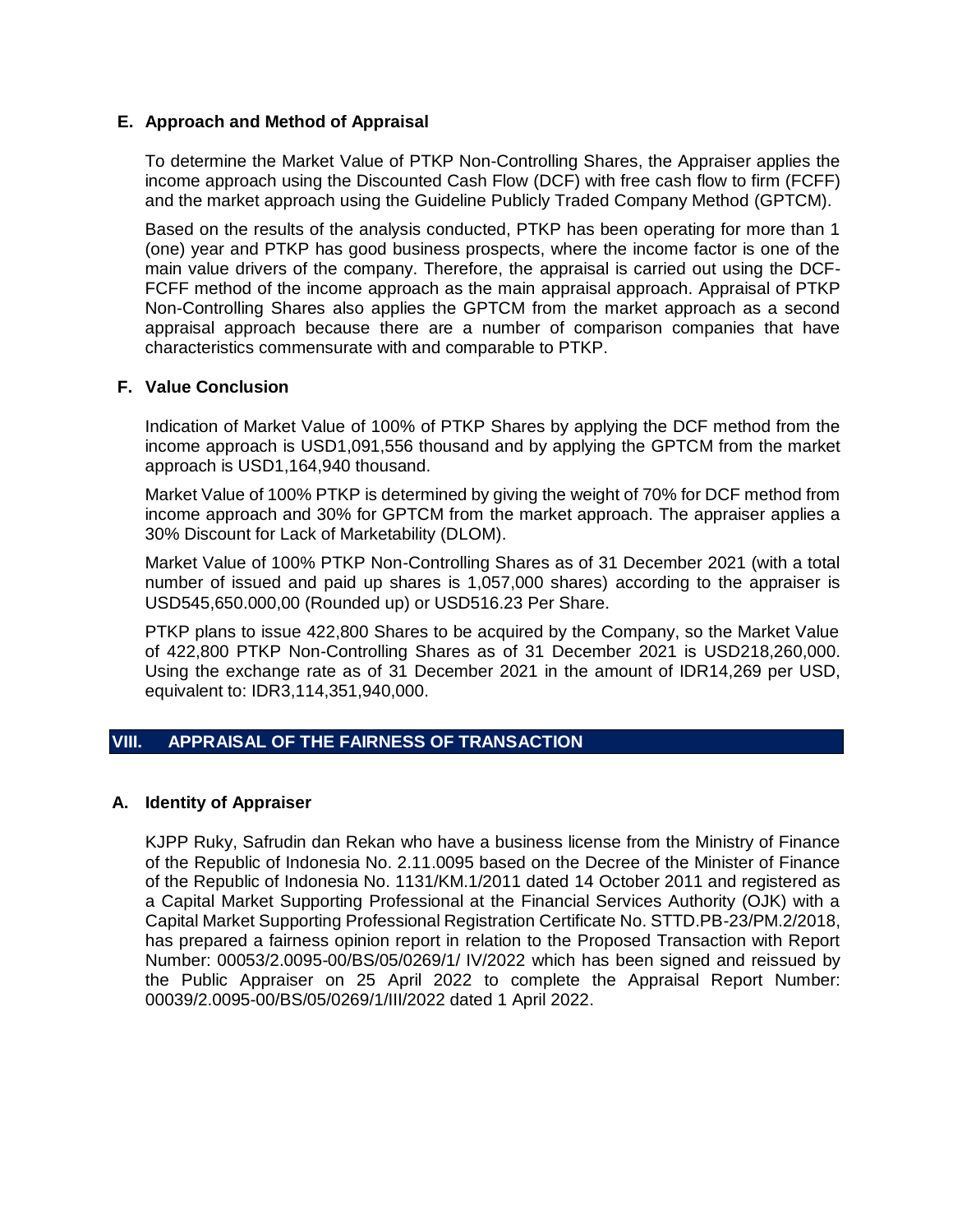## **E. Approach and Method of Appraisal**

To determine the Market Value of PTKP Non-Controlling Shares, the Appraiser applies the income approach using the Discounted Cash Flow (DCF) with free cash flow to firm (FCFF) and the market approach using the Guideline Publicly Traded Company Method (GPTCM).

Based on the results of the analysis conducted, PTKP has been operating for more than 1 (one) year and PTKP has good business prospects, where the income factor is one of the main value drivers of the company. Therefore, the appraisal is carried out using the DCF-FCFF method of the income approach as the main appraisal approach. Appraisal of PTKP Non-Controlling Shares also applies the GPTCM from the market approach as a second appraisal approach because there are a number of comparison companies that have characteristics commensurate with and comparable to PTKP.

## **F. Value Conclusion**

Indication of Market Value of 100% of PTKP Shares by applying the DCF method from the income approach is USD1,091,556 thousand and by applying the GPTCM from the market approach is USD1,164,940 thousand.

Market Value of 100% PTKP is determined by giving the weight of 70% for DCF method from income approach and 30% for GPTCM from the market approach. The appraiser applies a 30% Discount for Lack of Marketability (DLOM).

Market Value of 100% PTKP Non-Controlling Shares as of 31 December 2021 (with a total number of issued and paid up shares is 1,057,000 shares) according to the appraiser is USD545,650.000,00 (Rounded up) or USD516.23 Per Share.

PTKP plans to issue 422,800 Shares to be acquired by the Company, so the Market Value of 422,800 PTKP Non-Controlling Shares as of 31 December 2021 is USD218,260,000. Using the exchange rate as of 31 December 2021 in the amount of IDR14,269 per USD, equivalent to: IDR3,114,351,940,000.

## **VIII. APPRAISAL OF THE FAIRNESS OF TRANSACTION**

#### **A. Identity of Appraiser**

KJPP Ruky, Safrudin dan Rekan who have a business license from the Ministry of Finance of the Republic of Indonesia No. 2.11.0095 based on the Decree of the Minister of Finance of the Republic of Indonesia No. 1131/KM.1/2011 dated 14 October 2011 and registered as a Capital Market Supporting Professional at the Financial Services Authority (OJK) with a Capital Market Supporting Professional Registration Certificate No. STTD.PB-23/PM.2/2018, has prepared a fairness opinion report in relation to the Proposed Transaction with Report Number: 00053/2.0095-00/BS/05/0269/1/ IV/2022 which has been signed and reissued by the Public Appraiser on 25 April 2022 to complete the Appraisal Report Number: 00039/2.0095-00/BS/05/0269/1/III/2022 dated 1 April 2022.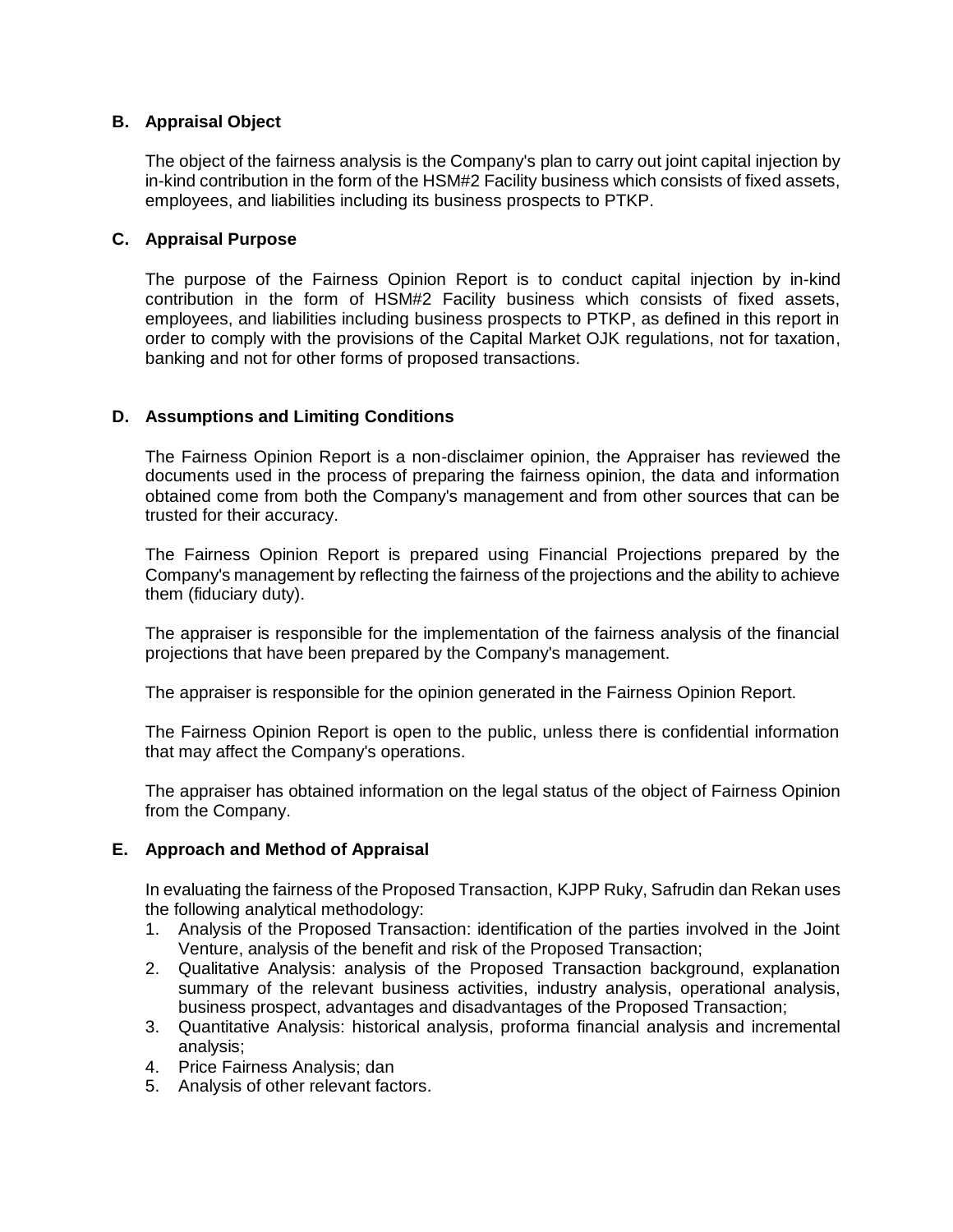## **B. Appraisal Object**

The object of the fairness analysis is the Company's plan to carry out joint capital injection by in-kind contribution in the form of the HSM#2 Facility business which consists of fixed assets, employees, and liabilities including its business prospects to PTKP.

## **C. Appraisal Purpose**

The purpose of the Fairness Opinion Report is to conduct capital injection by in-kind contribution in the form of HSM#2 Facility business which consists of fixed assets, employees, and liabilities including business prospects to PTKP, as defined in this report in order to comply with the provisions of the Capital Market OJK regulations, not for taxation, banking and not for other forms of proposed transactions.

## **D. Assumptions and Limiting Conditions**

The Fairness Opinion Report is a non-disclaimer opinion, the Appraiser has reviewed the documents used in the process of preparing the fairness opinion, the data and information obtained come from both the Company's management and from other sources that can be trusted for their accuracy.

The Fairness Opinion Report is prepared using Financial Projections prepared by the Company's management by reflecting the fairness of the projections and the ability to achieve them (fiduciary duty).

The appraiser is responsible for the implementation of the fairness analysis of the financial projections that have been prepared by the Company's management.

The appraiser is responsible for the opinion generated in the Fairness Opinion Report.

The Fairness Opinion Report is open to the public, unless there is confidential information that may affect the Company's operations.

The appraiser has obtained information on the legal status of the object of Fairness Opinion from the Company.

## **E. Approach and Method of Appraisal**

In evaluating the fairness of the Proposed Transaction, KJPP Ruky, Safrudin dan Rekan uses the following analytical methodology:

- 1. Analysis of the Proposed Transaction: identification of the parties involved in the Joint Venture, analysis of the benefit and risk of the Proposed Transaction;
- 2. Qualitative Analysis: analysis of the Proposed Transaction background, explanation summary of the relevant business activities, industry analysis, operational analysis, business prospect, advantages and disadvantages of the Proposed Transaction;
- 3. Quantitative Analysis: historical analysis, proforma financial analysis and incremental analysis;
- 4. Price Fairness Analysis; dan
- 5. Analysis of other relevant factors.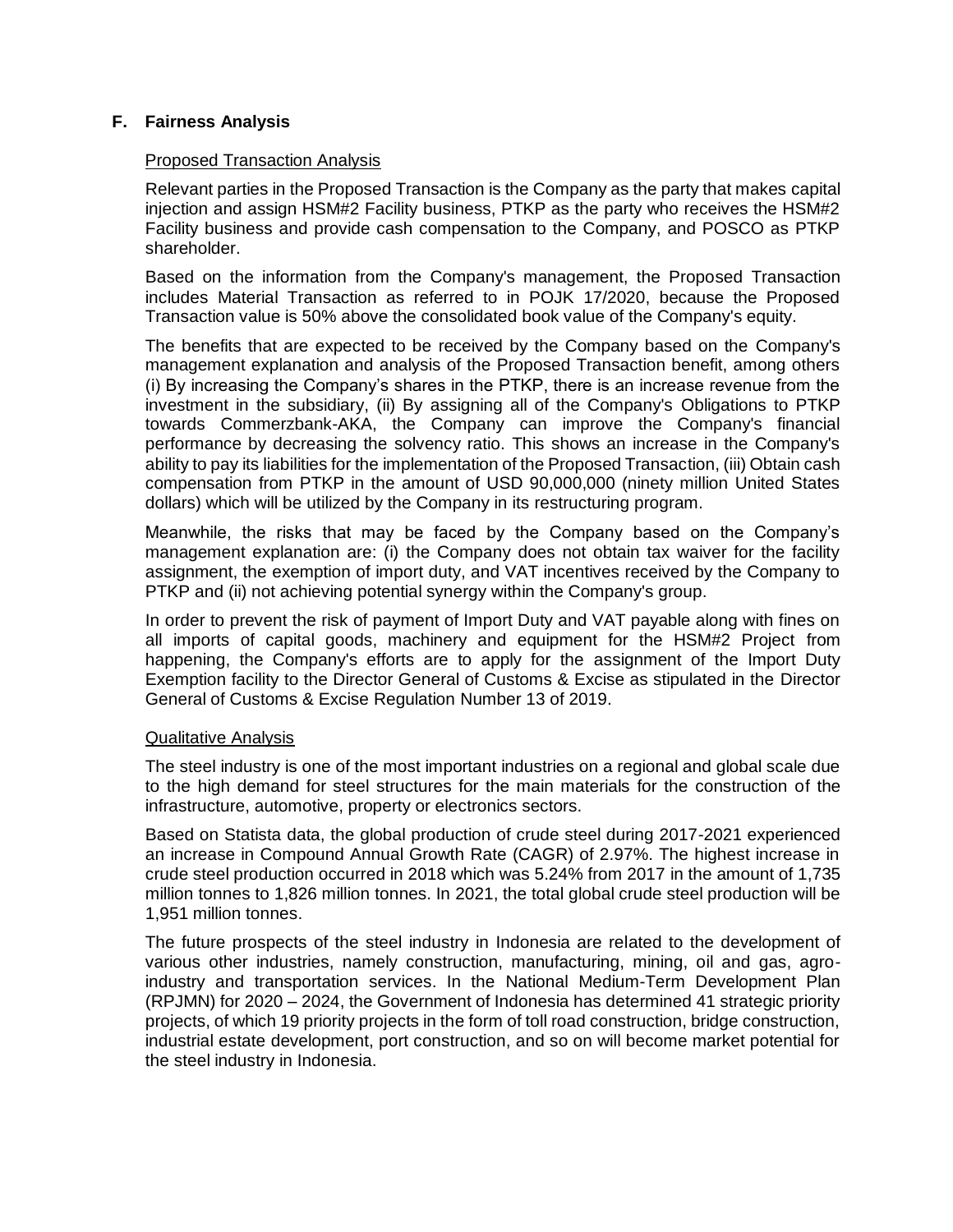## **F. Fairness Analysis**

## Proposed Transaction Analysis

Relevant parties in the Proposed Transaction is the Company as the party that makes capital injection and assign HSM#2 Facility business, PTKP as the party who receives the HSM#2 Facility business and provide cash compensation to the Company, and POSCO as PTKP shareholder.

Based on the information from the Company's management, the Proposed Transaction includes Material Transaction as referred to in POJK 17/2020, because the Proposed Transaction value is 50% above the consolidated book value of the Company's equity.

The benefits that are expected to be received by the Company based on the Company's management explanation and analysis of the Proposed Transaction benefit, among others (i) By increasing the Company's shares in the PTKP, there is an increase revenue from the investment in the subsidiary, (ii) By assigning all of the Company's Obligations to PTKP towards Commerzbank-AKA, the Company can improve the Company's financial performance by decreasing the solvency ratio. This shows an increase in the Company's ability to pay its liabilities for the implementation of the Proposed Transaction, (iii) Obtain cash compensation from PTKP in the amount of USD 90,000,000 (ninety million United States dollars) which will be utilized by the Company in its restructuring program.

Meanwhile, the risks that may be faced by the Company based on the Company's management explanation are: (i) the Company does not obtain tax waiver for the facility assignment, the exemption of import duty, and VAT incentives received by the Company to PTKP and (ii) not achieving potential synergy within the Company's group.

In order to prevent the risk of payment of Import Duty and VAT payable along with fines on all imports of capital goods, machinery and equipment for the HSM#2 Project from happening, the Company's efforts are to apply for the assignment of the Import Duty Exemption facility to the Director General of Customs & Excise as stipulated in the Director General of Customs & Excise Regulation Number 13 of 2019.

#### Qualitative Analysis

The steel industry is one of the most important industries on a regional and global scale due to the high demand for steel structures for the main materials for the construction of the infrastructure, automotive, property or electronics sectors.

Based on Statista data, the global production of crude steel during 2017-2021 experienced an increase in Compound Annual Growth Rate (CAGR) of 2.97%. The highest increase in crude steel production occurred in 2018 which was 5.24% from 2017 in the amount of 1,735 million tonnes to 1,826 million tonnes. In 2021, the total global crude steel production will be 1,951 million tonnes.

The future prospects of the steel industry in Indonesia are related to the development of various other industries, namely construction, manufacturing, mining, oil and gas, agroindustry and transportation services. In the National Medium-Term Development Plan (RPJMN) for 2020 – 2024, the Government of Indonesia has determined 41 strategic priority projects, of which 19 priority projects in the form of toll road construction, bridge construction, industrial estate development, port construction, and so on will become market potential for the steel industry in Indonesia.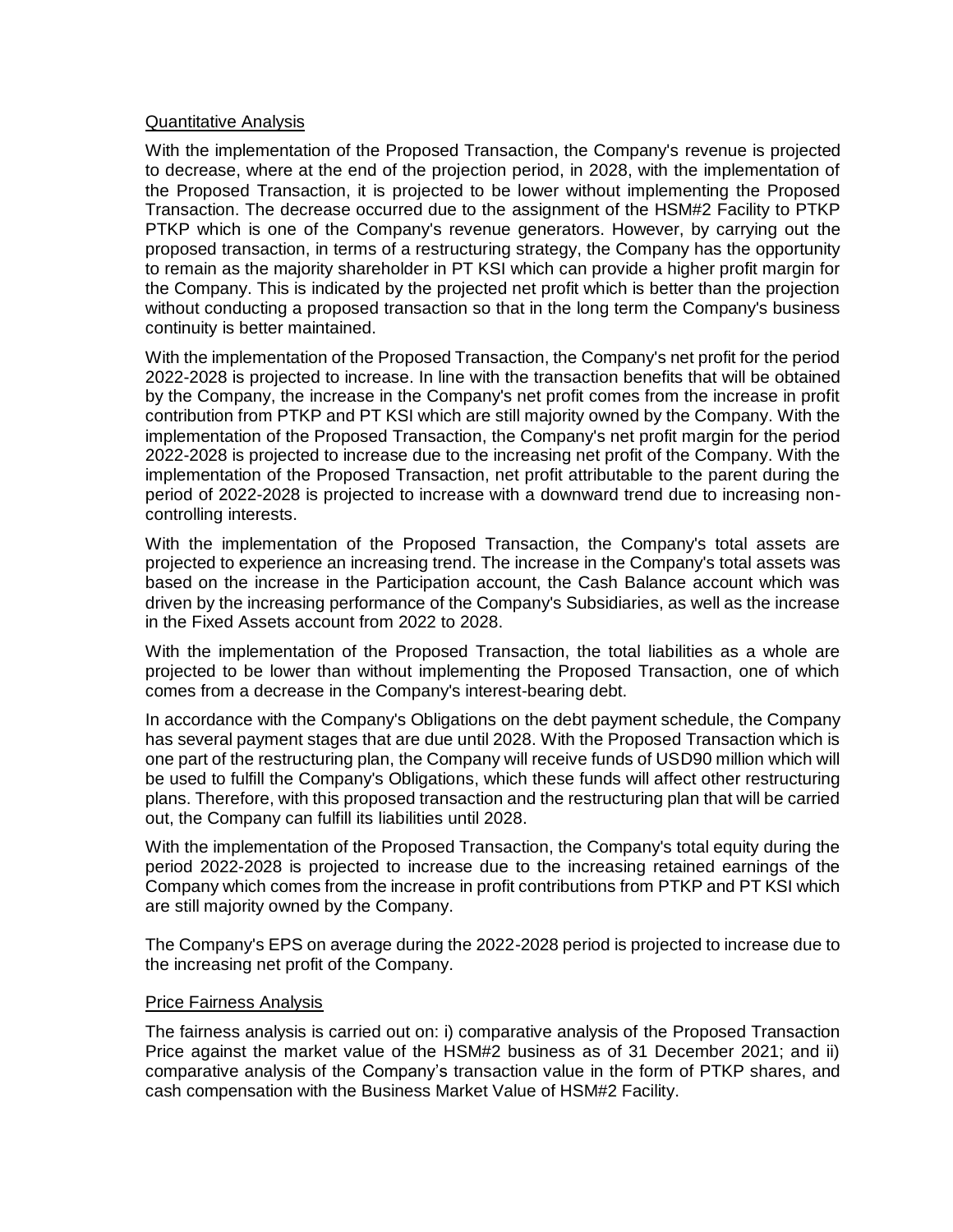#### Quantitative Analysis

With the implementation of the Proposed Transaction, the Company's revenue is projected to decrease, where at the end of the projection period, in 2028, with the implementation of the Proposed Transaction, it is projected to be lower without implementing the Proposed Transaction. The decrease occurred due to the assignment of the HSM#2 Facility to PTKP PTKP which is one of the Company's revenue generators. However, by carrying out the proposed transaction, in terms of a restructuring strategy, the Company has the opportunity to remain as the majority shareholder in PT KSI which can provide a higher profit margin for the Company. This is indicated by the projected net profit which is better than the projection without conducting a proposed transaction so that in the long term the Company's business continuity is better maintained.

With the implementation of the Proposed Transaction, the Company's net profit for the period 2022-2028 is projected to increase. In line with the transaction benefits that will be obtained by the Company, the increase in the Company's net profit comes from the increase in profit contribution from PTKP and PT KSI which are still majority owned by the Company. With the implementation of the Proposed Transaction, the Company's net profit margin for the period 2022-2028 is projected to increase due to the increasing net profit of the Company. With the implementation of the Proposed Transaction, net profit attributable to the parent during the period of 2022-2028 is projected to increase with a downward trend due to increasing noncontrolling interests.

With the implementation of the Proposed Transaction, the Company's total assets are projected to experience an increasing trend. The increase in the Company's total assets was based on the increase in the Participation account, the Cash Balance account which was driven by the increasing performance of the Company's Subsidiaries, as well as the increase in the Fixed Assets account from 2022 to 2028.

With the implementation of the Proposed Transaction, the total liabilities as a whole are projected to be lower than without implementing the Proposed Transaction, one of which comes from a decrease in the Company's interest-bearing debt.

In accordance with the Company's Obligations on the debt payment schedule, the Company has several payment stages that are due until 2028. With the Proposed Transaction which is one part of the restructuring plan, the Company will receive funds of USD90 million which will be used to fulfill the Company's Obligations, which these funds will affect other restructuring plans. Therefore, with this proposed transaction and the restructuring plan that will be carried out, the Company can fulfill its liabilities until 2028.

With the implementation of the Proposed Transaction, the Company's total equity during the period 2022-2028 is projected to increase due to the increasing retained earnings of the Company which comes from the increase in profit contributions from PTKP and PT KSI which are still majority owned by the Company.

The Company's EPS on average during the 2022-2028 period is projected to increase due to the increasing net profit of the Company.

#### Price Fairness Analysis

The fairness analysis is carried out on: i) comparative analysis of the Proposed Transaction Price against the market value of the HSM#2 business as of 31 December 2021; and ii) comparative analysis of the Company's transaction value in the form of PTKP shares, and cash compensation with the Business Market Value of HSM#2 Facility.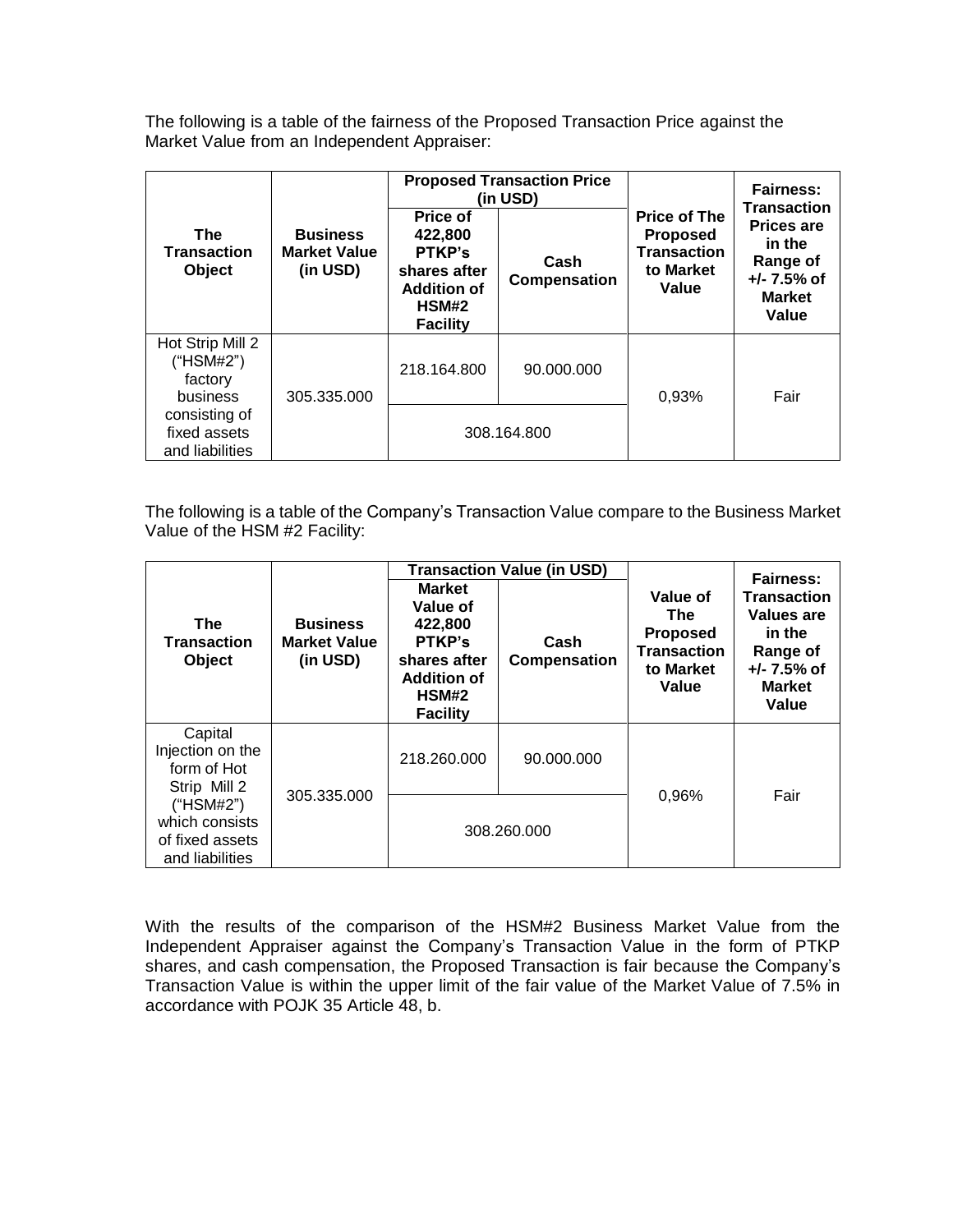The following is a table of the fairness of the Proposed Transaction Price against the Market Value from an Independent Appraiser:

|                                                     |                                                    | <b>Proposed Transaction Price</b><br>(in USD)                                                   |                      |                                                                                    | <b>Fairness:</b><br><b>Transaction</b>                                             |
|-----------------------------------------------------|----------------------------------------------------|-------------------------------------------------------------------------------------------------|----------------------|------------------------------------------------------------------------------------|------------------------------------------------------------------------------------|
| <b>The</b><br><b>Transaction</b><br>Object          | <b>Business</b><br><b>Market Value</b><br>(in USD) | Price of<br>422,800<br>PTKP's<br>shares after<br><b>Addition of</b><br>HSM#2<br><b>Facility</b> | Cash<br>Compensation | <b>Price of The</b><br><b>Proposed</b><br><b>Transaction</b><br>to Market<br>Value | <b>Prices are</b><br>in the<br>Range of<br>$+/- 7.5%$ of<br><b>Market</b><br>Value |
| Hot Strip Mill 2<br>(HSM#2")<br>factory<br>business | 305.335.000                                        | 218.164.800                                                                                     | 90.000.000           | 0,93%                                                                              | Fair                                                                               |
| consisting of<br>fixed assets<br>and liabilities    |                                                    | 308.164.800                                                                                     |                      |                                                                                    |                                                                                    |

The following is a table of the Company's Transaction Value compare to the Business Market Value of the HSM #2 Facility:

|                                                                   | <b>Transaction Value (in USD)</b>                  |                                                                                                                  |                      |                                                                                | <b>Fairness:</b>                                                                                  |
|-------------------------------------------------------------------|----------------------------------------------------|------------------------------------------------------------------------------------------------------------------|----------------------|--------------------------------------------------------------------------------|---------------------------------------------------------------------------------------------------|
| The<br><b>Transaction</b><br><b>Object</b>                        | <b>Business</b><br><b>Market Value</b><br>(in USD) | <b>Market</b><br>Value of<br>422,800<br>PTKP's<br>shares after<br><b>Addition of</b><br>HSM#2<br><b>Facility</b> | Cash<br>Compensation | Value of<br>The<br><b>Proposed</b><br><b>Transaction</b><br>to Market<br>Value | <b>Transaction</b><br>Values are<br>in the<br>Range of<br>$+/- 7.5%$ of<br><b>Market</b><br>Value |
| Capital<br>Injection on the<br>form of Hot<br>Strip Mill 2        | 305.335.000                                        | 218.260.000                                                                                                      | 90.000.000           | 0,96%                                                                          | Fair                                                                                              |
| ("HSM#2")<br>which consists<br>of fixed assets<br>and liabilities |                                                    |                                                                                                                  | 308.260.000          |                                                                                |                                                                                                   |

With the results of the comparison of the HSM#2 Business Market Value from the Independent Appraiser against the Company's Transaction Value in the form of PTKP shares, and cash compensation, the Proposed Transaction is fair because the Company's Transaction Value is within the upper limit of the fair value of the Market Value of 7.5% in accordance with POJK 35 Article 48, b.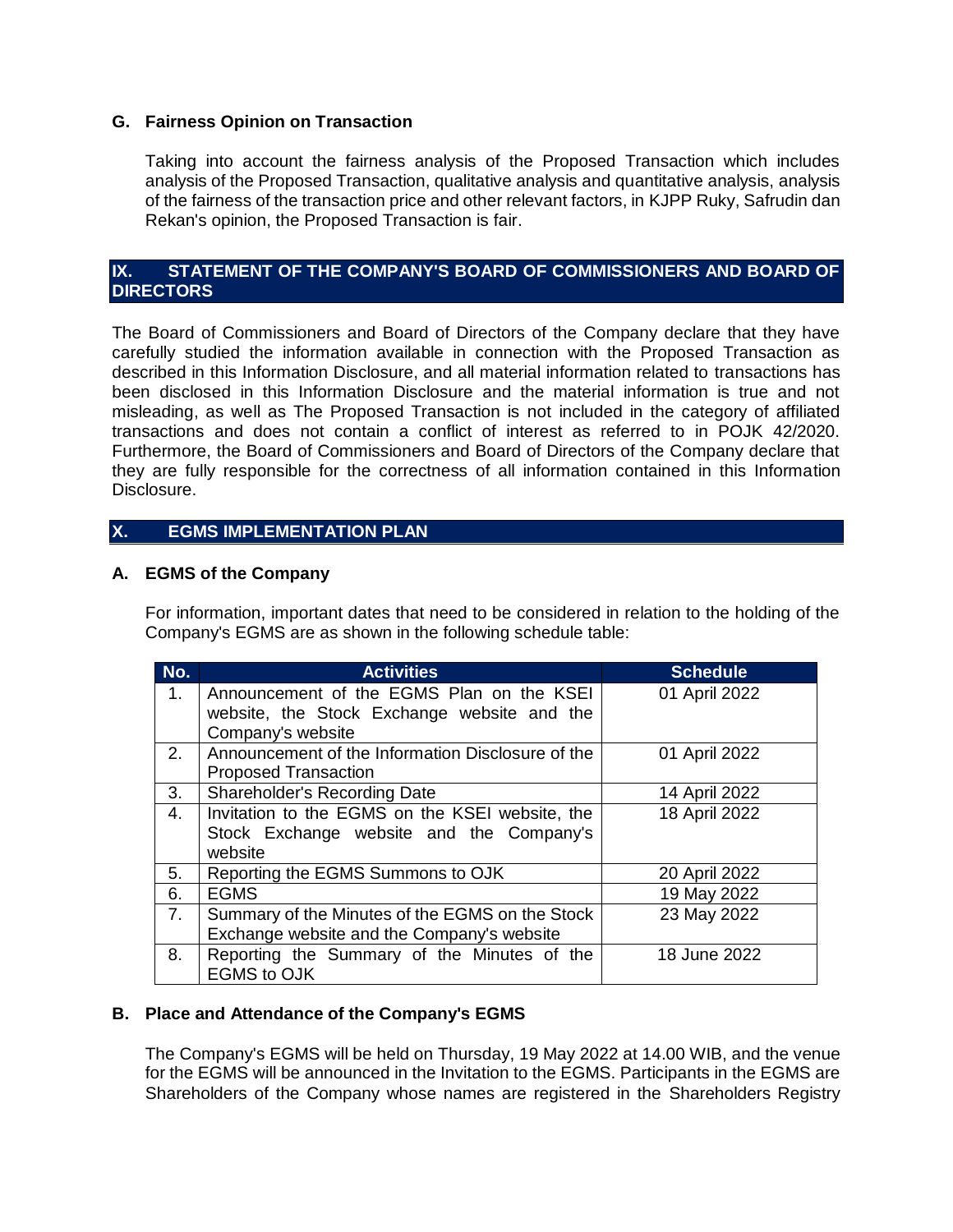## **G. Fairness Opinion on Transaction**

Taking into account the fairness analysis of the Proposed Transaction which includes analysis of the Proposed Transaction, qualitative analysis and quantitative analysis, analysis of the fairness of the transaction price and other relevant factors, in KJPP Ruky, Safrudin dan Rekan's opinion, the Proposed Transaction is fair.

## **IX. STATEMENT OF THE COMPANY'S BOARD OF COMMISSIONERS AND BOARD OF DIRECTORS**

The Board of Commissioners and Board of Directors of the Company declare that they have carefully studied the information available in connection with the Proposed Transaction as described in this Information Disclosure, and all material information related to transactions has been disclosed in this Information Disclosure and the material information is true and not misleading, as well as The Proposed Transaction is not included in the category of affiliated transactions and does not contain a conflict of interest as referred to in POJK 42/2020. Furthermore, the Board of Commissioners and Board of Directors of the Company declare that they are fully responsible for the correctness of all information contained in this Information Disclosure.

## **X. EGMS IMPLEMENTATION PLAN**

## **A. EGMS of the Company**

For information, important dates that need to be considered in relation to the holding of the Company's EGMS are as shown in the following schedule table:

| No.            | <b>Activities</b>                                                                             | <b>Schedule</b> |
|----------------|-----------------------------------------------------------------------------------------------|-----------------|
| $1_{\cdot}$    | Announcement of the EGMS Plan on the KSEI<br>website, the Stock Exchange website and the      | 01 April 2022   |
| 2.             | Company's website<br>Announcement of the Information Disclosure of the                        | 01 April 2022   |
|                | <b>Proposed Transaction</b>                                                                   |                 |
| 3.             | <b>Shareholder's Recording Date</b>                                                           | 14 April 2022   |
| 4.             | Invitation to the EGMS on the KSEI website, the                                               | 18 April 2022   |
|                | Stock Exchange website and the Company's<br>website                                           |                 |
| 5.             | Reporting the EGMS Summons to OJK                                                             | 20 April 2022   |
| 6.             | <b>EGMS</b>                                                                                   | 19 May 2022     |
| 7 <sub>1</sub> | Summary of the Minutes of the EGMS on the Stock<br>Exchange website and the Company's website | 23 May 2022     |
| 8.             | Reporting the Summary of the Minutes of the<br><b>EGMS to OJK</b>                             | 18 June 2022    |

#### **B. Place and Attendance of the Company's EGMS**

The Company's EGMS will be held on Thursday, 19 May 2022 at 14.00 WIB, and the venue for the EGMS will be announced in the Invitation to the EGMS. Participants in the EGMS are Shareholders of the Company whose names are registered in the Shareholders Registry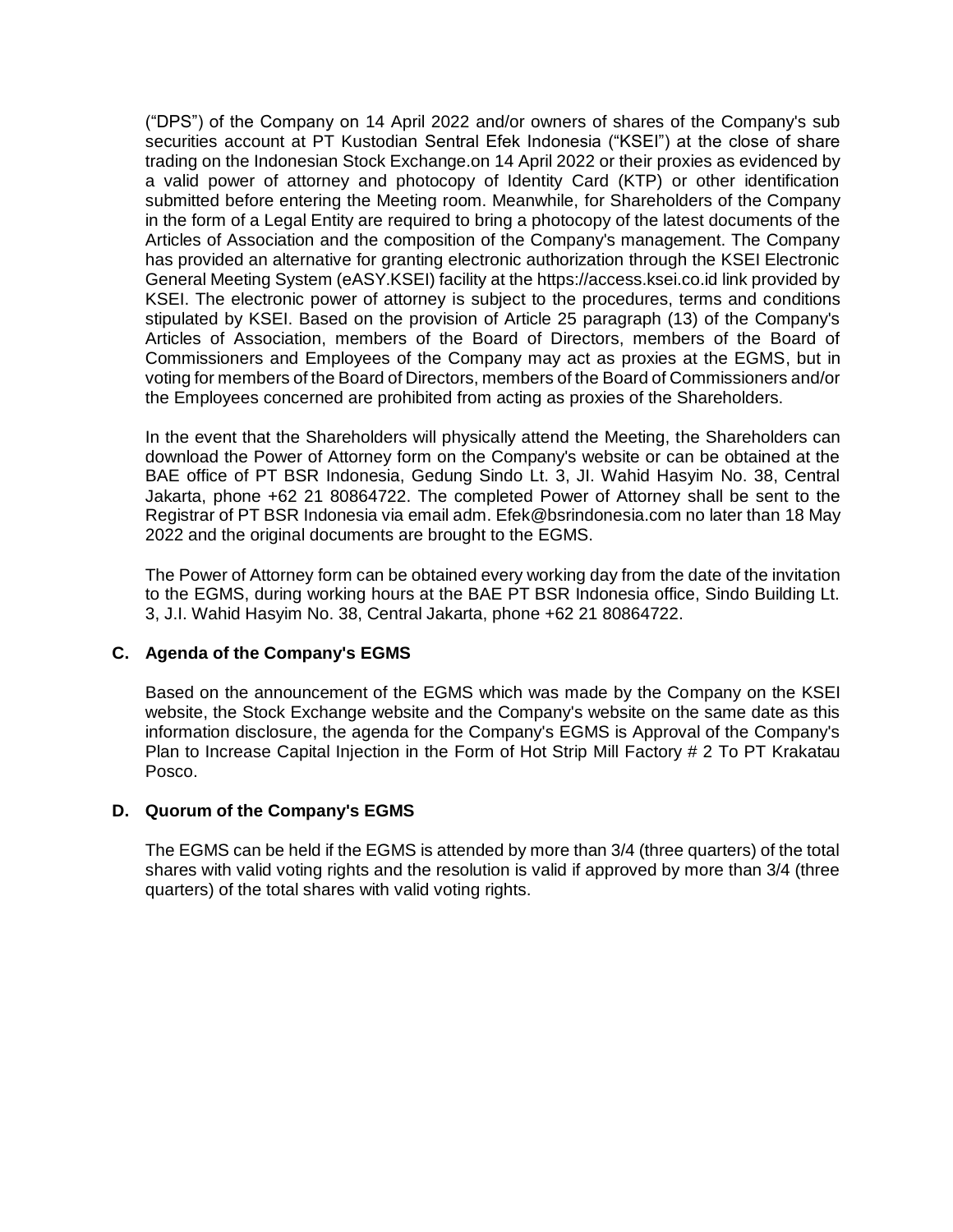("DPS") of the Company on 14 April 2022 and/or owners of shares of the Company's sub securities account at PT Kustodian Sentral Efek Indonesia ("KSEI") at the close of share trading on the Indonesian Stock Exchange.on 14 April 2022 or their proxies as evidenced by a valid power of attorney and photocopy of Identity Card (KTP) or other identification submitted before entering the Meeting room. Meanwhile, for Shareholders of the Company in the form of a Legal Entity are required to bring a photocopy of the latest documents of the Articles of Association and the composition of the Company's management. The Company has provided an alternative for granting electronic authorization through the KSEI Electronic General Meeting System (eASY.KSEI) facility at the https://access.ksei.co.id link provided by KSEI. The electronic power of attorney is subject to the procedures, terms and conditions stipulated by KSEI. Based on the provision of Article 25 paragraph (13) of the Company's Articles of Association, members of the Board of Directors, members of the Board of Commissioners and Employees of the Company may act as proxies at the EGMS, but in voting for members of the Board of Directors, members of the Board of Commissioners and/or the Employees concerned are prohibited from acting as proxies of the Shareholders.

In the event that the Shareholders will physically attend the Meeting, the Shareholders can download the Power of Attorney form on the Company's website or can be obtained at the BAE office of PT BSR Indonesia, Gedung Sindo Lt. 3, JI. Wahid Hasyim No. 38, Central Jakarta, phone +62 21 80864722. The completed Power of Attorney shall be sent to the Registrar of PT BSR Indonesia via email adm. Efek@bsrindonesia.com no later than 18 May 2022 and the original documents are brought to the EGMS.

The Power of Attorney form can be obtained every working day from the date of the invitation to the EGMS, during working hours at the BAE PT BSR Indonesia office, Sindo Building Lt. 3, J.I. Wahid Hasyim No. 38, Central Jakarta, phone +62 21 80864722.

## **C. Agenda of the Company's EGMS**

Based on the announcement of the EGMS which was made by the Company on the KSEI website, the Stock Exchange website and the Company's website on the same date as this information disclosure, the agenda for the Company's EGMS is Approval of the Company's Plan to Increase Capital Injection in the Form of Hot Strip Mill Factory # 2 To PT Krakatau Posco.

#### **D. Quorum of the Company's EGMS**

The EGMS can be held if the EGMS is attended by more than 3/4 (three quarters) of the total shares with valid voting rights and the resolution is valid if approved by more than 3/4 (three quarters) of the total shares with valid voting rights.